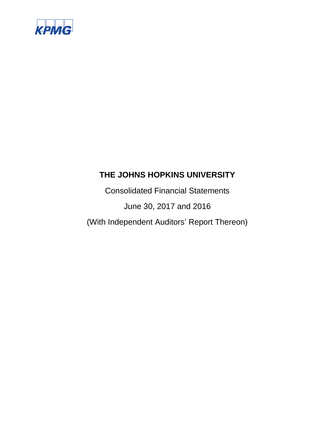

Consolidated Financial Statements June 30, 2017 and 2016 (With Independent Auditors' Report Thereon)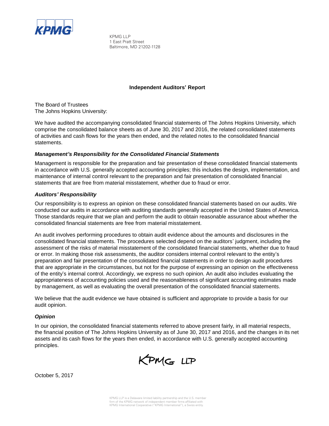

KPMG LLP 1 East Pratt Street Baltimore, MD 21202-1128

#### **Independent Auditors' Report**

The Board of Trustees The Johns Hopkins University:

We have audited the accompanying consolidated financial statements of The Johns Hopkins University, which comprise the consolidated balance sheets as of June 30, 2017 and 2016, the related consolidated statements of activities and cash flows for the years then ended, and the related notes to the consolidated financial statements.

## *Management's Responsibility for the Consolidated Financial Statements*

Management is responsible for the preparation and fair presentation of these consolidated financial statements in accordance with U.S. generally accepted accounting principles; this includes the design, implementation, and maintenance of internal control relevant to the preparation and fair presentation of consolidated financial statements that are free from material misstatement, whether due to fraud or error.

## *Auditors' Responsibility*

Our responsibility is to express an opinion on these consolidated financial statements based on our audits. We conducted our audits in accordance with auditing standards generally accepted in the United States of America. Those standards require that we plan and perform the audit to obtain reasonable assurance about whether the consolidated financial statements are free from material misstatement.

An audit involves performing procedures to obtain audit evidence about the amounts and disclosures in the consolidated financial statements. The procedures selected depend on the auditors' judgment, including the assessment of the risks of material misstatement of the consolidated financial statements, whether due to fraud or error. In making those risk assessments, the auditor considers internal control relevant to the entity's preparation and fair presentation of the consolidated financial statements in order to design audit procedures that are appropriate in the circumstances, but not for the purpose of expressing an opinion on the effectiveness of the entity's internal control. Accordingly, we express no such opinion. An audit also includes evaluating the appropriateness of accounting policies used and the reasonableness of significant accounting estimates made by management, as well as evaluating the overall presentation of the consolidated financial statements.

We believe that the audit evidence we have obtained is sufficient and appropriate to provide a basis for our audit opinion.

## *Opinion*

In our opinion, the consolidated financial statements referred to above present fairly, in all material respects, the financial position of The Johns Hopkins University as of June 30, 2017 and 2016, and the changes in its net assets and its cash flows for the years then ended, in accordance with U.S. generally accepted accounting principles.



October 5, 2017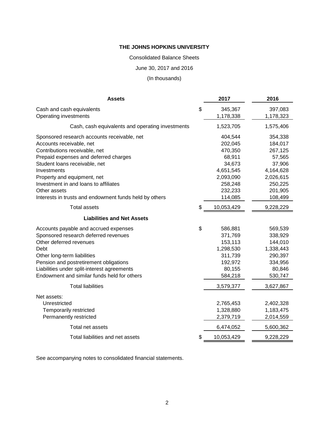Consolidated Balance Sheets

June 30, 2017 and 2016

## (In thousands)

| <b>Assets</b>                                          | 2017                       | 2016                 |
|--------------------------------------------------------|----------------------------|----------------------|
| Cash and cash equivalents<br>Operating investments     | \$<br>345,367<br>1,178,338 | 397,083<br>1,178,323 |
| Cash, cash equivalents and operating investments       | 1,523,705                  | 1,575,406            |
| Sponsored research accounts receivable, net            | 404,544                    | 354,338              |
| Accounts receivable, net                               | 202,045                    | 184,017              |
| Contributions receivable, net                          | 470,350                    | 267,125              |
| Prepaid expenses and deferred charges                  | 68,911                     | 57,565               |
| Student loans receivable, net                          | 34,673                     | 37,906               |
| Investments                                            | 4,651,545                  | 4,164,628            |
| Property and equipment, net                            | 2,093,090                  | 2,026,615            |
| Investment in and loans to affiliates                  | 258,248                    | 250,225              |
| Other assets                                           | 232,233                    | 201,905              |
| Interests in trusts and endowment funds held by others | 114,085                    | 108,499              |
| <b>Total assets</b>                                    | \$<br>10,053,429           | 9,228,229            |
| <b>Liabilities and Net Assets</b>                      |                            |                      |
| Accounts payable and accrued expenses                  | \$<br>586,881              | 569,539              |
| Sponsored research deferred revenues                   | 371,769                    | 338,929              |
| Other deferred revenues                                | 153,113                    | 144,010              |
| Debt                                                   | 1,298,530                  | 1,338,443            |
| Other long-term liabilities                            | 311,739                    | 290,397              |
| Pension and postretirement obligations                 | 192,972                    | 334,956              |
| Liabilities under split-interest agreements            | 80,155                     | 80,846               |
| Endowment and similar funds held for others            | 584,218                    | 530,747              |
| <b>Total liabilities</b>                               | 3,579,377                  | 3,627,867            |
| Net assets:                                            |                            |                      |
| Unrestricted                                           | 2,765,453                  | 2,402,328            |
| Temporarily restricted                                 | 1,328,880                  | 1,183,475            |
| Permanently restricted                                 | 2,379,719                  | 2,014,559            |
| Total net assets                                       | 6,474,052                  | 5,600,362            |
| Total liabilities and net assets                       | \$<br>10,053,429           | 9,228,229            |

See accompanying notes to consolidated financial statements.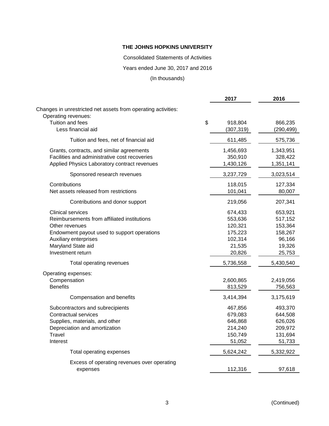Consolidated Statements of Activities

Years ended June 30, 2017 and 2016

(In thousands)

|                                                                                                                                                                                                              | 2017                                                                    | 2016                                                                   |
|--------------------------------------------------------------------------------------------------------------------------------------------------------------------------------------------------------------|-------------------------------------------------------------------------|------------------------------------------------------------------------|
| Changes in unrestricted net assets from operating activities:<br>Operating revenues:                                                                                                                         |                                                                         |                                                                        |
| Tuition and fees<br>Less financial aid                                                                                                                                                                       | \$<br>918,804<br>(307, 319)                                             | 866,235<br>(290, 499)                                                  |
| Tuition and fees, net of financial aid                                                                                                                                                                       | 611,485                                                                 | 575,736                                                                |
| Grants, contracts, and similar agreements<br>Facilities and administrative cost recoveries<br>Applied Physics Laboratory contract revenues                                                                   | 1,456,693<br>350,910<br>1,430,126                                       | 1,343,951<br>328,422<br>1,351,141                                      |
| Sponsored research revenues                                                                                                                                                                                  | 3,237,729                                                               | 3,023,514                                                              |
| Contributions<br>Net assets released from restrictions                                                                                                                                                       | 118,015<br>101,041                                                      | 127,334<br>80,007                                                      |
| Contributions and donor support                                                                                                                                                                              | 219,056                                                                 | 207,341                                                                |
| <b>Clinical services</b><br>Reimbursements from affiliated institutions<br>Other revenues<br>Endowment payout used to support operations<br>Auxiliary enterprises<br>Maryland State aid<br>Investment return | 674,433<br>553,636<br>120,321<br>175,223<br>102,314<br>21,535<br>20,826 | 653,921<br>517,152<br>153,364<br>158,267<br>96,166<br>19,326<br>25,753 |
| Total operating revenues                                                                                                                                                                                     | 5,736,558                                                               | 5,430,540                                                              |
| Operating expenses:<br>Compensation<br><b>Benefits</b>                                                                                                                                                       | 2,600,865<br>813,529                                                    | 2,419,056<br>756,563                                                   |
| Compensation and benefits                                                                                                                                                                                    | 3,414,394                                                               | 3,175,619                                                              |
| Subcontractors and subrecipients<br><b>Contractual services</b><br>Supplies, materials, and other<br>Depreciation and amortization<br>Travel<br>Interest                                                     | 467,856<br>679,083<br>646,868<br>214,240<br>150,749<br>51,052           | 493,370<br>644,508<br>626,026<br>209,972<br>131,694<br>51,733          |
| Total operating expenses                                                                                                                                                                                     | 5,624,242                                                               | 5,332,922                                                              |
| Excess of operating revenues over operating<br>expenses                                                                                                                                                      | 112,316                                                                 | 97,618                                                                 |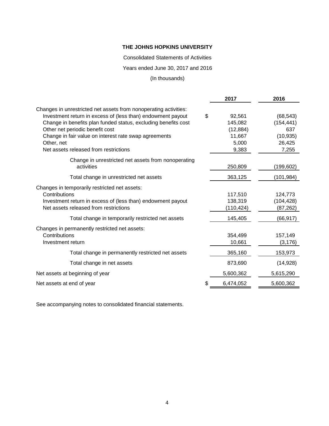Consolidated Statements of Activities

Years ended June 30, 2017 and 2016

## (In thousands)

|                                                                  | 2017            | 2016       |
|------------------------------------------------------------------|-----------------|------------|
| Changes in unrestricted net assets from nonoperating activities: |                 |            |
| Investment return in excess of (less than) endowment payout      | \$<br>92,561    | (68, 543)  |
| Change in benefits plan funded status, excluding benefits cost   | 145,082         | (154, 441) |
| Other net periodic benefit cost                                  | (12, 884)       | 637        |
| Change in fair value on interest rate swap agreements            | 11,667          | (10, 935)  |
| Other, net                                                       | 5,000           | 26,425     |
| Net assets released from restrictions                            | 9,383           | 7,255      |
| Change in unrestricted net assets from nonoperating              |                 |            |
| activities                                                       | 250,809         | (199, 602) |
| Total change in unrestricted net assets                          | 363,125         | (101, 984) |
| Changes in temporarily restricted net assets:                    |                 |            |
| Contributions                                                    | 117,510         | 124,773    |
| Investment return in excess of (less than) endowment payout      | 138,319         | (104, 428) |
| Net assets released from restrictions                            | (110, 424)      | (87, 262)  |
| Total change in temporarily restricted net assets                | 145,405         | (66, 917)  |
| Changes in permanently restricted net assets:                    |                 |            |
| Contributions                                                    | 354,499         | 157,149    |
| Investment return                                                | 10,661          | (3, 176)   |
| Total change in permanently restricted net assets                | 365,160         | 153,973    |
| Total change in net assets                                       | 873,690         | (14, 928)  |
| Net assets at beginning of year                                  | 5,600,362       | 5,615,290  |
| Net assets at end of year                                        | \$<br>6,474,052 | 5,600,362  |

See accompanying notes to consolidated financial statements.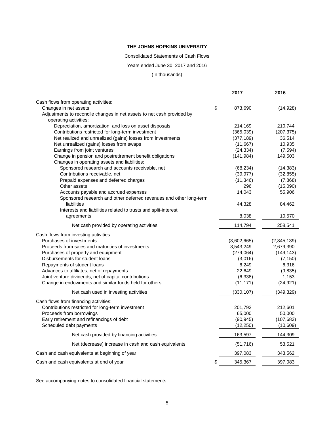Consolidated Statements of Cash Flows

Years ended June 30, 2017 and 2016

## (In thousands)

| Cash flows from operating activities:<br>\$<br>Changes in net assets<br>(14, 928)<br>873,690<br>Adjustments to reconcile changes in net assets to net cash provided by<br>operating activities:<br>Depreciation, amortization, and loss on asset disposals<br>214,169<br>210,744<br>Contributions restricted for long-term investment<br>(365,039)<br>(207, 375)<br>36,514<br>Net realized and unrealized (gains) losses from investments<br>(377, 189)<br>10,935<br>Net unrealized (gains) losses from swaps<br>(11,667)<br>(24, 334)<br>(7, 594)<br>Earnings from joint ventures<br>Change in pension and postretirement benefit obligations<br>(141, 984)<br>149,503<br>Changes in operating assets and liabilities:<br>Sponsored research and accounts receivable, net<br>(14, 383)<br>(68, 234)<br>Contributions receivable, net<br>(39, 977)<br>(32, 855)<br>(7,868)<br>Prepaid expenses and deferred charges<br>(11, 346)<br>296<br>(15,090)<br>Other assets<br>Accounts payable and accrued expenses<br>14,043<br>55,906<br>Sponsored research and other deferred revenues and other long-term<br>liabilities<br>44,328<br>84,462<br>Interests and liabilities related to trusts and split-interest<br>8,038<br>10,570<br>agreements<br>114,794<br>Net cash provided by operating activities<br>258,541<br>Cash flows from investing activities:<br>Purchases of investments<br>(3,602,665)<br>(2,845,139)<br>Proceeds from sales and maturities of investments<br>3,543,249<br>2,679,390<br>(279,064)<br>(149, 143)<br>Purchases of property and equipment<br>(7, 150)<br>Disbursements for student loans<br>(3,016)<br>6,249<br>6,316<br>Repayments of student loans<br>Advances to affiliates, net of repayments<br>22,649<br>(9,835)<br>(6, 338)<br>1,153<br>Joint venture dividends, net of capital contributions<br>Change in endowments and similar funds held for others<br>(24, 921)<br>(11, 171)<br>(349, 329)<br>Net cash used in investing activities<br>(330, 107)<br>Cash flows from financing activities:<br>Contributions restricted for long-term investment<br>201,792<br>212,601<br>Proceeds from borrowings<br>65,000<br>50,000<br>Early retirement and refinancings of debt<br>(90, 945)<br>(107, 683)<br>Scheduled debt payments<br>(12, 250)<br>(10,609)<br>Net cash provided by financing activities<br>163,597<br>144,309<br>Net (decrease) increase in cash and cash equivalents<br>(51, 716)<br>53,521<br>Cash and cash equivalents at beginning of year<br>397,083<br>343,562<br>\$<br>Cash and cash equivalents at end of year<br>345,367<br>397,083 |  | 2017 | 2016 |
|-------------------------------------------------------------------------------------------------------------------------------------------------------------------------------------------------------------------------------------------------------------------------------------------------------------------------------------------------------------------------------------------------------------------------------------------------------------------------------------------------------------------------------------------------------------------------------------------------------------------------------------------------------------------------------------------------------------------------------------------------------------------------------------------------------------------------------------------------------------------------------------------------------------------------------------------------------------------------------------------------------------------------------------------------------------------------------------------------------------------------------------------------------------------------------------------------------------------------------------------------------------------------------------------------------------------------------------------------------------------------------------------------------------------------------------------------------------------------------------------------------------------------------------------------------------------------------------------------------------------------------------------------------------------------------------------------------------------------------------------------------------------------------------------------------------------------------------------------------------------------------------------------------------------------------------------------------------------------------------------------------------------------------------------------------------------------------------------------------------------------------------------------------------------------------------------------------------------------------------------------------------------------------------------------------------------------------------------------------------------------------------------------------------------------------------------------------------------------------------------------------------------------------------------------------------------------------------------|--|------|------|
|                                                                                                                                                                                                                                                                                                                                                                                                                                                                                                                                                                                                                                                                                                                                                                                                                                                                                                                                                                                                                                                                                                                                                                                                                                                                                                                                                                                                                                                                                                                                                                                                                                                                                                                                                                                                                                                                                                                                                                                                                                                                                                                                                                                                                                                                                                                                                                                                                                                                                                                                                                                           |  |      |      |
|                                                                                                                                                                                                                                                                                                                                                                                                                                                                                                                                                                                                                                                                                                                                                                                                                                                                                                                                                                                                                                                                                                                                                                                                                                                                                                                                                                                                                                                                                                                                                                                                                                                                                                                                                                                                                                                                                                                                                                                                                                                                                                                                                                                                                                                                                                                                                                                                                                                                                                                                                                                           |  |      |      |
|                                                                                                                                                                                                                                                                                                                                                                                                                                                                                                                                                                                                                                                                                                                                                                                                                                                                                                                                                                                                                                                                                                                                                                                                                                                                                                                                                                                                                                                                                                                                                                                                                                                                                                                                                                                                                                                                                                                                                                                                                                                                                                                                                                                                                                                                                                                                                                                                                                                                                                                                                                                           |  |      |      |
|                                                                                                                                                                                                                                                                                                                                                                                                                                                                                                                                                                                                                                                                                                                                                                                                                                                                                                                                                                                                                                                                                                                                                                                                                                                                                                                                                                                                                                                                                                                                                                                                                                                                                                                                                                                                                                                                                                                                                                                                                                                                                                                                                                                                                                                                                                                                                                                                                                                                                                                                                                                           |  |      |      |
|                                                                                                                                                                                                                                                                                                                                                                                                                                                                                                                                                                                                                                                                                                                                                                                                                                                                                                                                                                                                                                                                                                                                                                                                                                                                                                                                                                                                                                                                                                                                                                                                                                                                                                                                                                                                                                                                                                                                                                                                                                                                                                                                                                                                                                                                                                                                                                                                                                                                                                                                                                                           |  |      |      |
|                                                                                                                                                                                                                                                                                                                                                                                                                                                                                                                                                                                                                                                                                                                                                                                                                                                                                                                                                                                                                                                                                                                                                                                                                                                                                                                                                                                                                                                                                                                                                                                                                                                                                                                                                                                                                                                                                                                                                                                                                                                                                                                                                                                                                                                                                                                                                                                                                                                                                                                                                                                           |  |      |      |
|                                                                                                                                                                                                                                                                                                                                                                                                                                                                                                                                                                                                                                                                                                                                                                                                                                                                                                                                                                                                                                                                                                                                                                                                                                                                                                                                                                                                                                                                                                                                                                                                                                                                                                                                                                                                                                                                                                                                                                                                                                                                                                                                                                                                                                                                                                                                                                                                                                                                                                                                                                                           |  |      |      |
|                                                                                                                                                                                                                                                                                                                                                                                                                                                                                                                                                                                                                                                                                                                                                                                                                                                                                                                                                                                                                                                                                                                                                                                                                                                                                                                                                                                                                                                                                                                                                                                                                                                                                                                                                                                                                                                                                                                                                                                                                                                                                                                                                                                                                                                                                                                                                                                                                                                                                                                                                                                           |  |      |      |
|                                                                                                                                                                                                                                                                                                                                                                                                                                                                                                                                                                                                                                                                                                                                                                                                                                                                                                                                                                                                                                                                                                                                                                                                                                                                                                                                                                                                                                                                                                                                                                                                                                                                                                                                                                                                                                                                                                                                                                                                                                                                                                                                                                                                                                                                                                                                                                                                                                                                                                                                                                                           |  |      |      |
|                                                                                                                                                                                                                                                                                                                                                                                                                                                                                                                                                                                                                                                                                                                                                                                                                                                                                                                                                                                                                                                                                                                                                                                                                                                                                                                                                                                                                                                                                                                                                                                                                                                                                                                                                                                                                                                                                                                                                                                                                                                                                                                                                                                                                                                                                                                                                                                                                                                                                                                                                                                           |  |      |      |
|                                                                                                                                                                                                                                                                                                                                                                                                                                                                                                                                                                                                                                                                                                                                                                                                                                                                                                                                                                                                                                                                                                                                                                                                                                                                                                                                                                                                                                                                                                                                                                                                                                                                                                                                                                                                                                                                                                                                                                                                                                                                                                                                                                                                                                                                                                                                                                                                                                                                                                                                                                                           |  |      |      |
|                                                                                                                                                                                                                                                                                                                                                                                                                                                                                                                                                                                                                                                                                                                                                                                                                                                                                                                                                                                                                                                                                                                                                                                                                                                                                                                                                                                                                                                                                                                                                                                                                                                                                                                                                                                                                                                                                                                                                                                                                                                                                                                                                                                                                                                                                                                                                                                                                                                                                                                                                                                           |  |      |      |
|                                                                                                                                                                                                                                                                                                                                                                                                                                                                                                                                                                                                                                                                                                                                                                                                                                                                                                                                                                                                                                                                                                                                                                                                                                                                                                                                                                                                                                                                                                                                                                                                                                                                                                                                                                                                                                                                                                                                                                                                                                                                                                                                                                                                                                                                                                                                                                                                                                                                                                                                                                                           |  |      |      |
|                                                                                                                                                                                                                                                                                                                                                                                                                                                                                                                                                                                                                                                                                                                                                                                                                                                                                                                                                                                                                                                                                                                                                                                                                                                                                                                                                                                                                                                                                                                                                                                                                                                                                                                                                                                                                                                                                                                                                                                                                                                                                                                                                                                                                                                                                                                                                                                                                                                                                                                                                                                           |  |      |      |
|                                                                                                                                                                                                                                                                                                                                                                                                                                                                                                                                                                                                                                                                                                                                                                                                                                                                                                                                                                                                                                                                                                                                                                                                                                                                                                                                                                                                                                                                                                                                                                                                                                                                                                                                                                                                                                                                                                                                                                                                                                                                                                                                                                                                                                                                                                                                                                                                                                                                                                                                                                                           |  |      |      |
|                                                                                                                                                                                                                                                                                                                                                                                                                                                                                                                                                                                                                                                                                                                                                                                                                                                                                                                                                                                                                                                                                                                                                                                                                                                                                                                                                                                                                                                                                                                                                                                                                                                                                                                                                                                                                                                                                                                                                                                                                                                                                                                                                                                                                                                                                                                                                                                                                                                                                                                                                                                           |  |      |      |
|                                                                                                                                                                                                                                                                                                                                                                                                                                                                                                                                                                                                                                                                                                                                                                                                                                                                                                                                                                                                                                                                                                                                                                                                                                                                                                                                                                                                                                                                                                                                                                                                                                                                                                                                                                                                                                                                                                                                                                                                                                                                                                                                                                                                                                                                                                                                                                                                                                                                                                                                                                                           |  |      |      |
|                                                                                                                                                                                                                                                                                                                                                                                                                                                                                                                                                                                                                                                                                                                                                                                                                                                                                                                                                                                                                                                                                                                                                                                                                                                                                                                                                                                                                                                                                                                                                                                                                                                                                                                                                                                                                                                                                                                                                                                                                                                                                                                                                                                                                                                                                                                                                                                                                                                                                                                                                                                           |  |      |      |
|                                                                                                                                                                                                                                                                                                                                                                                                                                                                                                                                                                                                                                                                                                                                                                                                                                                                                                                                                                                                                                                                                                                                                                                                                                                                                                                                                                                                                                                                                                                                                                                                                                                                                                                                                                                                                                                                                                                                                                                                                                                                                                                                                                                                                                                                                                                                                                                                                                                                                                                                                                                           |  |      |      |
|                                                                                                                                                                                                                                                                                                                                                                                                                                                                                                                                                                                                                                                                                                                                                                                                                                                                                                                                                                                                                                                                                                                                                                                                                                                                                                                                                                                                                                                                                                                                                                                                                                                                                                                                                                                                                                                                                                                                                                                                                                                                                                                                                                                                                                                                                                                                                                                                                                                                                                                                                                                           |  |      |      |
|                                                                                                                                                                                                                                                                                                                                                                                                                                                                                                                                                                                                                                                                                                                                                                                                                                                                                                                                                                                                                                                                                                                                                                                                                                                                                                                                                                                                                                                                                                                                                                                                                                                                                                                                                                                                                                                                                                                                                                                                                                                                                                                                                                                                                                                                                                                                                                                                                                                                                                                                                                                           |  |      |      |
|                                                                                                                                                                                                                                                                                                                                                                                                                                                                                                                                                                                                                                                                                                                                                                                                                                                                                                                                                                                                                                                                                                                                                                                                                                                                                                                                                                                                                                                                                                                                                                                                                                                                                                                                                                                                                                                                                                                                                                                                                                                                                                                                                                                                                                                                                                                                                                                                                                                                                                                                                                                           |  |      |      |
|                                                                                                                                                                                                                                                                                                                                                                                                                                                                                                                                                                                                                                                                                                                                                                                                                                                                                                                                                                                                                                                                                                                                                                                                                                                                                                                                                                                                                                                                                                                                                                                                                                                                                                                                                                                                                                                                                                                                                                                                                                                                                                                                                                                                                                                                                                                                                                                                                                                                                                                                                                                           |  |      |      |
|                                                                                                                                                                                                                                                                                                                                                                                                                                                                                                                                                                                                                                                                                                                                                                                                                                                                                                                                                                                                                                                                                                                                                                                                                                                                                                                                                                                                                                                                                                                                                                                                                                                                                                                                                                                                                                                                                                                                                                                                                                                                                                                                                                                                                                                                                                                                                                                                                                                                                                                                                                                           |  |      |      |
|                                                                                                                                                                                                                                                                                                                                                                                                                                                                                                                                                                                                                                                                                                                                                                                                                                                                                                                                                                                                                                                                                                                                                                                                                                                                                                                                                                                                                                                                                                                                                                                                                                                                                                                                                                                                                                                                                                                                                                                                                                                                                                                                                                                                                                                                                                                                                                                                                                                                                                                                                                                           |  |      |      |
|                                                                                                                                                                                                                                                                                                                                                                                                                                                                                                                                                                                                                                                                                                                                                                                                                                                                                                                                                                                                                                                                                                                                                                                                                                                                                                                                                                                                                                                                                                                                                                                                                                                                                                                                                                                                                                                                                                                                                                                                                                                                                                                                                                                                                                                                                                                                                                                                                                                                                                                                                                                           |  |      |      |
|                                                                                                                                                                                                                                                                                                                                                                                                                                                                                                                                                                                                                                                                                                                                                                                                                                                                                                                                                                                                                                                                                                                                                                                                                                                                                                                                                                                                                                                                                                                                                                                                                                                                                                                                                                                                                                                                                                                                                                                                                                                                                                                                                                                                                                                                                                                                                                                                                                                                                                                                                                                           |  |      |      |
|                                                                                                                                                                                                                                                                                                                                                                                                                                                                                                                                                                                                                                                                                                                                                                                                                                                                                                                                                                                                                                                                                                                                                                                                                                                                                                                                                                                                                                                                                                                                                                                                                                                                                                                                                                                                                                                                                                                                                                                                                                                                                                                                                                                                                                                                                                                                                                                                                                                                                                                                                                                           |  |      |      |
|                                                                                                                                                                                                                                                                                                                                                                                                                                                                                                                                                                                                                                                                                                                                                                                                                                                                                                                                                                                                                                                                                                                                                                                                                                                                                                                                                                                                                                                                                                                                                                                                                                                                                                                                                                                                                                                                                                                                                                                                                                                                                                                                                                                                                                                                                                                                                                                                                                                                                                                                                                                           |  |      |      |
|                                                                                                                                                                                                                                                                                                                                                                                                                                                                                                                                                                                                                                                                                                                                                                                                                                                                                                                                                                                                                                                                                                                                                                                                                                                                                                                                                                                                                                                                                                                                                                                                                                                                                                                                                                                                                                                                                                                                                                                                                                                                                                                                                                                                                                                                                                                                                                                                                                                                                                                                                                                           |  |      |      |
|                                                                                                                                                                                                                                                                                                                                                                                                                                                                                                                                                                                                                                                                                                                                                                                                                                                                                                                                                                                                                                                                                                                                                                                                                                                                                                                                                                                                                                                                                                                                                                                                                                                                                                                                                                                                                                                                                                                                                                                                                                                                                                                                                                                                                                                                                                                                                                                                                                                                                                                                                                                           |  |      |      |
|                                                                                                                                                                                                                                                                                                                                                                                                                                                                                                                                                                                                                                                                                                                                                                                                                                                                                                                                                                                                                                                                                                                                                                                                                                                                                                                                                                                                                                                                                                                                                                                                                                                                                                                                                                                                                                                                                                                                                                                                                                                                                                                                                                                                                                                                                                                                                                                                                                                                                                                                                                                           |  |      |      |
|                                                                                                                                                                                                                                                                                                                                                                                                                                                                                                                                                                                                                                                                                                                                                                                                                                                                                                                                                                                                                                                                                                                                                                                                                                                                                                                                                                                                                                                                                                                                                                                                                                                                                                                                                                                                                                                                                                                                                                                                                                                                                                                                                                                                                                                                                                                                                                                                                                                                                                                                                                                           |  |      |      |
|                                                                                                                                                                                                                                                                                                                                                                                                                                                                                                                                                                                                                                                                                                                                                                                                                                                                                                                                                                                                                                                                                                                                                                                                                                                                                                                                                                                                                                                                                                                                                                                                                                                                                                                                                                                                                                                                                                                                                                                                                                                                                                                                                                                                                                                                                                                                                                                                                                                                                                                                                                                           |  |      |      |
|                                                                                                                                                                                                                                                                                                                                                                                                                                                                                                                                                                                                                                                                                                                                                                                                                                                                                                                                                                                                                                                                                                                                                                                                                                                                                                                                                                                                                                                                                                                                                                                                                                                                                                                                                                                                                                                                                                                                                                                                                                                                                                                                                                                                                                                                                                                                                                                                                                                                                                                                                                                           |  |      |      |
|                                                                                                                                                                                                                                                                                                                                                                                                                                                                                                                                                                                                                                                                                                                                                                                                                                                                                                                                                                                                                                                                                                                                                                                                                                                                                                                                                                                                                                                                                                                                                                                                                                                                                                                                                                                                                                                                                                                                                                                                                                                                                                                                                                                                                                                                                                                                                                                                                                                                                                                                                                                           |  |      |      |
|                                                                                                                                                                                                                                                                                                                                                                                                                                                                                                                                                                                                                                                                                                                                                                                                                                                                                                                                                                                                                                                                                                                                                                                                                                                                                                                                                                                                                                                                                                                                                                                                                                                                                                                                                                                                                                                                                                                                                                                                                                                                                                                                                                                                                                                                                                                                                                                                                                                                                                                                                                                           |  |      |      |
|                                                                                                                                                                                                                                                                                                                                                                                                                                                                                                                                                                                                                                                                                                                                                                                                                                                                                                                                                                                                                                                                                                                                                                                                                                                                                                                                                                                                                                                                                                                                                                                                                                                                                                                                                                                                                                                                                                                                                                                                                                                                                                                                                                                                                                                                                                                                                                                                                                                                                                                                                                                           |  |      |      |
|                                                                                                                                                                                                                                                                                                                                                                                                                                                                                                                                                                                                                                                                                                                                                                                                                                                                                                                                                                                                                                                                                                                                                                                                                                                                                                                                                                                                                                                                                                                                                                                                                                                                                                                                                                                                                                                                                                                                                                                                                                                                                                                                                                                                                                                                                                                                                                                                                                                                                                                                                                                           |  |      |      |
|                                                                                                                                                                                                                                                                                                                                                                                                                                                                                                                                                                                                                                                                                                                                                                                                                                                                                                                                                                                                                                                                                                                                                                                                                                                                                                                                                                                                                                                                                                                                                                                                                                                                                                                                                                                                                                                                                                                                                                                                                                                                                                                                                                                                                                                                                                                                                                                                                                                                                                                                                                                           |  |      |      |

See accompanying notes to consolidated financial statements.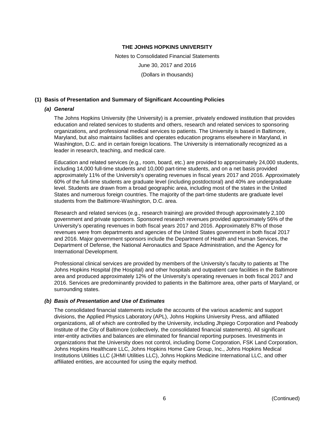Notes to Consolidated Financial Statements June 30, 2017 and 2016 (Dollars in thousands)

## **(1) Basis of Presentation and Summary of Significant Accounting Policies**

#### *(a) General*

The Johns Hopkins University (the University) is a premier, privately endowed institution that provides education and related services to students and others, research and related services to sponsoring organizations, and professional medical services to patients. The University is based in Baltimore, Maryland, but also maintains facilities and operates education programs elsewhere in Maryland, in Washington, D.C. and in certain foreign locations. The University is internationally recognized as a leader in research, teaching, and medical care.

Education and related services (e.g., room, board, etc.) are provided to approximately 24,000 students, including 14,000 full-time students and 10,000 part-time students, and on a net basis provided approximately 11% of the University's operating revenues in fiscal years 2017 and 2016. Approximately 60% of the full-time students are graduate level (including postdoctoral) and 40% are undergraduate level. Students are drawn from a broad geographic area, including most of the states in the United States and numerous foreign countries. The majority of the part-time students are graduate level students from the Baltimore-Washington, D.C. area.

Research and related services (e.g., research training) are provided through approximately 2,100 government and private sponsors. Sponsored research revenues provided approximately 56% of the University's operating revenues in both fiscal years 2017 and 2016. Approximately 87% of those revenues were from departments and agencies of the United States government in both fiscal 2017 and 2016. Major government sponsors include the Department of Health and Human Services, the Department of Defense, the National Aeronautics and Space Administration, and the Agency for International Development.

Professional clinical services are provided by members of the University's faculty to patients at The Johns Hopkins Hospital (the Hospital) and other hospitals and outpatient care facilities in the Baltimore area and produced approximately 12% of the University's operating revenues in both fiscal 2017 and 2016. Services are predominantly provided to patients in the Baltimore area, other parts of Maryland, or surrounding states.

#### *(b) Basis of Presentation and Use of Estimates*

The consolidated financial statements include the accounts of the various academic and support divisions, the Applied Physics Laboratory (APL), Johns Hopkins University Press, and affiliated organizations, all of which are controlled by the University, including Jhpiego Corporation and Peabody Institute of the City of Baltimore (collectively, the consolidated financial statements). All significant inter-entity activities and balances are eliminated for financial reporting purposes. Investments in organizations that the University does not control, including Dome Corporation, FSK Land Corporation, Johns Hopkins Healthcare LLC, Johns Hopkins Home Care Group, Inc., Johns Hopkins Medical Institutions Utilities LLC (JHMI Utilities LLC), Johns Hopkins Medicine International LLC, and other affiliated entities, are accounted for using the equity method.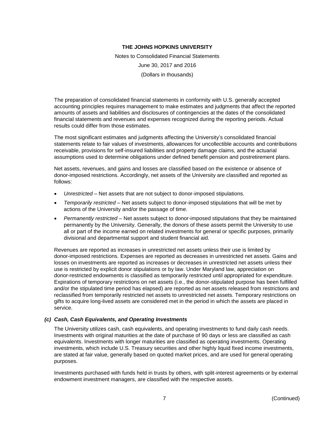Notes to Consolidated Financial Statements June 30, 2017 and 2016 (Dollars in thousands)

The preparation of consolidated financial statements in conformity with U.S. generally accepted accounting principles requires management to make estimates and judgments that affect the reported amounts of assets and liabilities and disclosures of contingencies at the dates of the consolidated financial statements and revenues and expenses recognized during the reporting periods. Actual results could differ from those estimates.

The most significant estimates and judgments affecting the University's consolidated financial statements relate to fair values of investments, allowances for uncollectible accounts and contributions receivable, provisions for self-insured liabilities and property damage claims, and the actuarial assumptions used to determine obligations under defined benefit pension and postretirement plans.

Net assets, revenues, and gains and losses are classified based on the existence or absence of donor-imposed restrictions. Accordingly, net assets of the University are classified and reported as follows:

- *Unrestricted* Net assets that are not subject to donor-imposed stipulations.
- *Temporarily restricted* Net assets subject to donor-imposed stipulations that will be met by actions of the University and/or the passage of time.
- *Permanently restricted* Net assets subject to donor-imposed stipulations that they be maintained permanently by the University. Generally, the donors of these assets permit the University to use all or part of the income earned on related investments for general or specific purposes, primarily divisional and departmental support and student financial aid.

Revenues are reported as increases in unrestricted net assets unless their use is limited by donor-imposed restrictions. Expenses are reported as decreases in unrestricted net assets. Gains and losses on investments are reported as increases or decreases in unrestricted net assets unless their use is restricted by explicit donor stipulations or by law. Under Maryland law, appreciation on donor-restricted endowments is classified as temporarily restricted until appropriated for expenditure. Expirations of temporary restrictions on net assets (i.e., the donor-stipulated purpose has been fulfilled and/or the stipulated time period has elapsed) are reported as net assets released from restrictions and reclassified from temporarily restricted net assets to unrestricted net assets. Temporary restrictions on gifts to acquire long-lived assets are considered met in the period in which the assets are placed in service.

## *(c) Cash, Cash Equivalents, and Operating Investments*

The University utilizes cash, cash equivalents, and operating investments to fund daily cash needs. Investments with original maturities at the date of purchase of 90 days or less are classified as cash equivalents. Investments with longer maturities are classified as operating investments. Operating investments, which include U.S. Treasury securities and other highly liquid fixed income investments, are stated at fair value, generally based on quoted market prices, and are used for general operating purposes.

Investments purchased with funds held in trusts by others, with split-interest agreements or by external endowment investment managers, are classified with the respective assets.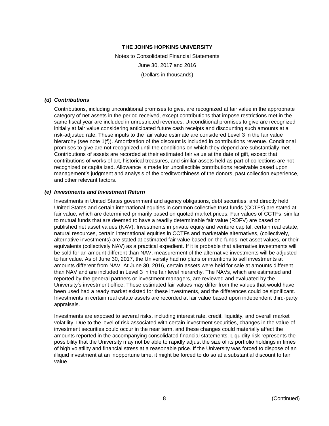Notes to Consolidated Financial Statements June 30, 2017 and 2016 (Dollars in thousands)

#### *(d) Contributions*

Contributions, including unconditional promises to give, are recognized at fair value in the appropriate category of net assets in the period received, except contributions that impose restrictions met in the same fiscal year are included in unrestricted revenues. Unconditional promises to give are recognized initially at fair value considering anticipated future cash receipts and discounting such amounts at a risk-adjusted rate. These inputs to the fair value estimate are considered Level 3 in the fair value hierarchy (see note 1(f)). Amortization of the discount is included in contributions revenue. Conditional promises to give are not recognized until the conditions on which they depend are substantially met. Contributions of assets are recorded at their estimated fair value at the date of gift, except that contributions of works of art, historical treasures, and similar assets held as part of collections are not recognized or capitalized. Allowance is made for uncollectible contributions receivable based upon management's judgment and analysis of the creditworthiness of the donors, past collection experience, and other relevant factors.

#### *(e) Investments and Investment Return*

Investments in United States government and agency obligations, debt securities, and directly held United States and certain international equities in common collective trust funds (CCTFs) are stated at fair value, which are determined primarily based on quoted market prices. Fair values of CCTFs, similar to mutual funds that are deemed to have a readily determinable fair value (RDFV) are based on published net asset values (NAV). Investments in private equity and venture capital, certain real estate, natural resources, certain international equities in CCTFs and marketable alternatives, (collectively, alternative investments) are stated at estimated fair value based on the funds' net asset values, or their equivalents (collectively NAV) as a practical expedient. If it is probable that alternative investments will be sold for an amount different than NAV, measurement of the alternative investments will be adjusted to fair value. As of June 30, 2017, the University had no plans or intentions to sell investments at amounts different from NAV. At June 30, 2016, certain assets were held for sale at amounts different than NAV and are included in Level 3 in the fair level hierarchy. The NAVs, which are estimated and reported by the general partners or investment managers, are reviewed and evaluated by the University's investment office. These estimated fair values may differ from the values that would have been used had a ready market existed for these investments, and the differences could be significant. Investments in certain real estate assets are recorded at fair value based upon independent third-party appraisals.

Investments are exposed to several risks, including interest rate, credit, liquidity, and overall market volatility. Due to the level of risk associated with certain investment securities, changes in the value of investment securities could occur in the near term, and these changes could materially affect the amounts reported in the accompanying consolidated financial statements. Liquidity risk represents the possibility that the University may not be able to rapidly adjust the size of its portfolio holdings in times of high volatility and financial stress at a reasonable price. If the University was forced to dispose of an illiquid investment at an inopportune time, it might be forced to do so at a substantial discount to fair value.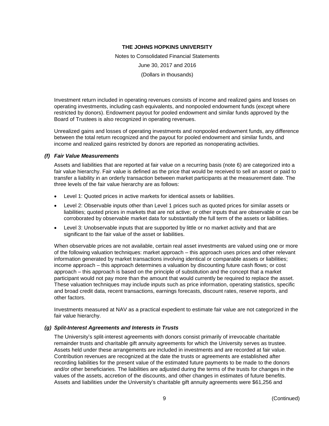Notes to Consolidated Financial Statements June 30, 2017 and 2016 (Dollars in thousands)

Investment return included in operating revenues consists of income and realized gains and losses on operating investments, including cash equivalents, and nonpooled endowment funds (except where restricted by donors). Endowment payout for pooled endowment and similar funds approved by the Board of Trustees is also recognized in operating revenues.

Unrealized gains and losses of operating investments and nonpooled endowment funds, any difference between the total return recognized and the payout for pooled endowment and similar funds, and income and realized gains restricted by donors are reported as nonoperating activities.

#### *(f) Fair Value Measurements*

Assets and liabilities that are reported at fair value on a recurring basis (note 6) are categorized into a fair value hierarchy. Fair value is defined as the price that would be received to sell an asset or paid to transfer a liability in an orderly transaction between market participants at the measurement date. The three levels of the fair value hierarchy are as follows:

- Level 1: Quoted prices in active markets for identical assets or liabilities.
- Level 2: Observable inputs other than Level 1 prices such as quoted prices for similar assets or liabilities; quoted prices in markets that are not active; or other inputs that are observable or can be corroborated by observable market data for substantially the full term of the assets or liabilities.
- Level 3: Unobservable inputs that are supported by little or no market activity and that are significant to the fair value of the asset or liabilities.

When observable prices are not available, certain real asset investments are valued using one or more of the following valuation techniques: market approach – this approach uses prices and other relevant information generated by market transactions involving identical or comparable assets or liabilities; income approach – this approach determines a valuation by discounting future cash flows; or cost approach – this approach is based on the principle of substitution and the concept that a market participant would not pay more than the amount that would currently be required to replace the asset. These valuation techniques may include inputs such as price information, operating statistics, specific and broad credit data, recent transactions, earnings forecasts, discount rates, reserve reports, and other factors.

Investments measured at NAV as a practical expedient to estimate fair value are not categorized in the fair value hierarchy.

## *(g) Split-Interest Agreements and Interests in Trusts*

The University's split-interest agreements with donors consist primarily of irrevocable charitable remainder trusts and charitable gift annuity agreements for which the University serves as trustee. Assets held under these arrangements are included in investments and are recorded at fair value. Contribution revenues are recognized at the date the trusts or agreements are established after recording liabilities for the present value of the estimated future payments to be made to the donors and/or other beneficiaries. The liabilities are adjusted during the terms of the trusts for changes in the values of the assets, accretion of the discounts, and other changes in estimates of future benefits. Assets and liabilities under the University's charitable gift annuity agreements were \$61,256 and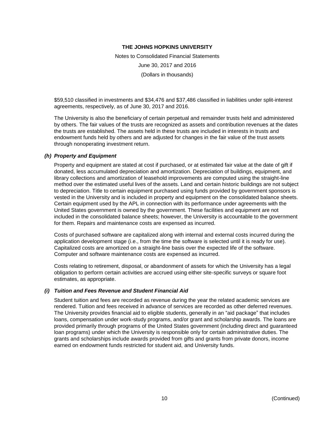Notes to Consolidated Financial Statements June 30, 2017 and 2016 (Dollars in thousands)

\$59,510 classified in investments and \$34,476 and \$37,486 classified in liabilities under split-interest agreements, respectively, as of June 30, 2017 and 2016.

The University is also the beneficiary of certain perpetual and remainder trusts held and administered by others. The fair values of the trusts are recognized as assets and contribution revenues at the dates the trusts are established. The assets held in these trusts are included in interests in trusts and endowment funds held by others and are adjusted for changes in the fair value of the trust assets through nonoperating investment return.

#### *(h) Property and Equipment*

Property and equipment are stated at cost if purchased, or at estimated fair value at the date of gift if donated, less accumulated depreciation and amortization. Depreciation of buildings, equipment, and library collections and amortization of leasehold improvements are computed using the straight-line method over the estimated useful lives of the assets. Land and certain historic buildings are not subject to depreciation. Title to certain equipment purchased using funds provided by government sponsors is vested in the University and is included in property and equipment on the consolidated balance sheets. Certain equipment used by the APL in connection with its performance under agreements with the United States government is owned by the government. These facilities and equipment are not included in the consolidated balance sheets; however, the University is accountable to the government for them. Repairs and maintenance costs are expensed as incurred.

Costs of purchased software are capitalized along with internal and external costs incurred during the application development stage (i.e., from the time the software is selected until it is ready for use). Capitalized costs are amortized on a straight-line basis over the expected life of the software. Computer and software maintenance costs are expensed as incurred.

Costs relating to retirement, disposal, or abandonment of assets for which the University has a legal obligation to perform certain activities are accrued using either site-specific surveys or square foot estimates, as appropriate.

#### *(i) Tuition and Fees Revenue and Student Financial Aid*

Student tuition and fees are recorded as revenue during the year the related academic services are rendered. Tuition and fees received in advance of services are recorded as other deferred revenues. The University provides financial aid to eligible students, generally in an "aid package" that includes loans, compensation under work-study programs, and/or grant and scholarship awards. The loans are provided primarily through programs of the United States government (including direct and guaranteed loan programs) under which the University is responsible only for certain administrative duties. The grants and scholarships include awards provided from gifts and grants from private donors, income earned on endowment funds restricted for student aid, and University funds.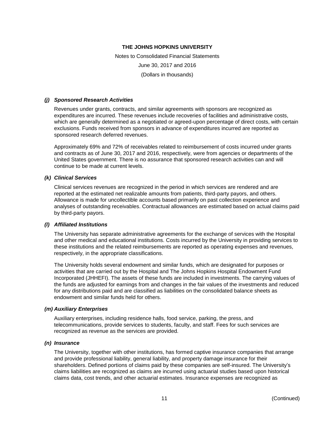Notes to Consolidated Financial Statements June 30, 2017 and 2016 (Dollars in thousands)

## *(j) Sponsored Research Activities*

Revenues under grants, contracts, and similar agreements with sponsors are recognized as expenditures are incurred. These revenues include recoveries of facilities and administrative costs, which are generally determined as a negotiated or agreed-upon percentage of direct costs, with certain exclusions. Funds received from sponsors in advance of expenditures incurred are reported as sponsored research deferred revenues.

Approximately 69% and 72% of receivables related to reimbursement of costs incurred under grants and contracts as of June 30, 2017 and 2016, respectively, were from agencies or departments of the United States government. There is no assurance that sponsored research activities can and will continue to be made at current levels.

## *(k) Clinical Services*

Clinical services revenues are recognized in the period in which services are rendered and are reported at the estimated net realizable amounts from patients, third-party payors, and others. Allowance is made for uncollectible accounts based primarily on past collection experience and analyses of outstanding receivables. Contractual allowances are estimated based on actual claims paid by third-party payors.

#### *(l) Affiliated Institutions*

The University has separate administrative agreements for the exchange of services with the Hospital and other medical and educational institutions. Costs incurred by the University in providing services to these institutions and the related reimbursements are reported as operating expenses and revenues, respectively, in the appropriate classifications.

The University holds several endowment and similar funds, which are designated for purposes or activities that are carried out by the Hospital and The Johns Hopkins Hospital Endowment Fund Incorporated (JHHEFI). The assets of these funds are included in investments. The carrying values of the funds are adjusted for earnings from and changes in the fair values of the investments and reduced for any distributions paid and are classified as liabilities on the consolidated balance sheets as endowment and similar funds held for others.

## *(m) Auxiliary Enterprises*

Auxiliary enterprises, including residence halls, food service, parking, the press, and telecommunications, provide services to students, faculty, and staff. Fees for such services are recognized as revenue as the services are provided.

#### *(n) Insurance*

The University, together with other institutions, has formed captive insurance companies that arrange and provide professional liability, general liability, and property damage insurance for their shareholders. Defined portions of claims paid by these companies are self-insured. The University's claims liabilities are recognized as claims are incurred using actuarial studies based upon historical claims data, cost trends, and other actuarial estimates. Insurance expenses are recognized as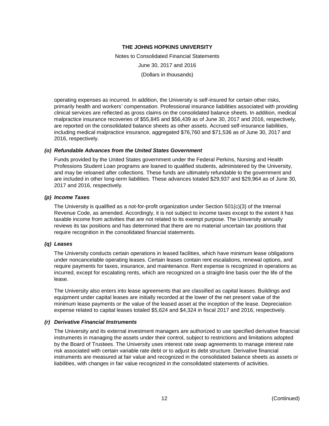Notes to Consolidated Financial Statements June 30, 2017 and 2016 (Dollars in thousands)

operating expenses as incurred. In addition, the University is self-insured for certain other risks, primarily health and workers' compensation. Professional insurance liabilities associated with providing clinical services are reflected as gross claims on the consolidated balance sheets. In addition, medical malpractice insurance recoveries of \$55,845 and \$56,439 as of June 30, 2017 and 2016, respectively, are reported on the consolidated balance sheets as other assets. Accrued self-insurance liabilities, including medical malpractice insurance, aggregated \$76,760 and \$71,536 as of June 30, 2017 and 2016, respectively.

#### *(o) Refundable Advances from the United States Government*

Funds provided by the United States government under the Federal Perkins, Nursing and Health Professions Student Loan programs are loaned to qualified students, administered by the University, and may be reloaned after collections. These funds are ultimately refundable to the government and are included in other long-term liabilities. These advances totaled \$29,937 and \$29,964 as of June 30, 2017 and 2016, respectively.

#### *(p) Income Taxes*

The University is qualified as a not-for-profit organization under Section 501(c)(3) of the Internal Revenue Code, as amended. Accordingly, it is not subject to income taxes except to the extent it has taxable income from activities that are not related to its exempt purpose. The University annually reviews its tax positions and has determined that there are no material uncertain tax positions that require recognition in the consolidated financial statements.

## *(q) Leases*

The University conducts certain operations in leased facilities, which have minimum lease obligations under noncancelable operating leases. Certain leases contain rent escalations, renewal options, and require payments for taxes, insurance, and maintenance. Rent expense is recognized in operations as incurred, except for escalating rents, which are recognized on a straight-line basis over the life of the lease.

The University also enters into lease agreements that are classified as capital leases. Buildings and equipment under capital leases are initially recorded at the lower of the net present value of the minimum lease payments or the value of the leased asset at the inception of the lease. Depreciation expense related to capital leases totaled \$5,624 and \$4,324 in fiscal 2017 and 2016, respectively.

#### *(r) Derivative Financial Instruments*

The University and its external investment managers are authorized to use specified derivative financial instruments in managing the assets under their control, subject to restrictions and limitations adopted by the Board of Trustees. The University uses interest rate swap agreements to manage interest rate risk associated with certain variable rate debt or to adjust its debt structure. Derivative financial instruments are measured at fair value and recognized in the consolidated balance sheets as assets or liabilities, with changes in fair value recognized in the consolidated statements of activities.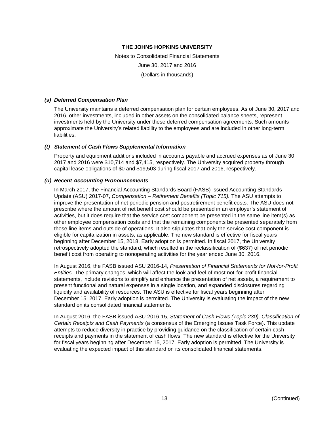Notes to Consolidated Financial Statements June 30, 2017 and 2016 (Dollars in thousands)

#### *(s) Deferred Compensation Plan*

The University maintains a deferred compensation plan for certain employees. As of June 30, 2017 and 2016, other investments, included in other assets on the consolidated balance sheets, represent investments held by the University under these deferred compensation agreements. Such amounts approximate the University's related liability to the employees and are included in other long-term liabilities.

#### *(t) Statement of Cash Flows Supplemental Information*

Property and equipment additions included in accounts payable and accrued expenses as of June 30, 2017 and 2016 were \$10,714 and \$7,415, respectively. The University acquired property through capital lease obligations of \$0 and \$19,503 during fiscal 2017 and 2016, respectively.

#### *(u) Recent Accounting Pronouncements*

In March 2017, the Financial Accounting Standards Board (FASB) issued Accounting Standards Update (ASU) 2017-07, *Compensation – Retirement Benefits (Topic 715).* The ASU attempts to improve the presentation of net periodic pension and postretirement benefit costs. The ASU does not prescribe where the amount of net benefit cost should be presented in an employer's statement of activities, but it does require that the service cost component be presented in the same line item(s) as other employee compensation costs and that the remaining components be presented separately from those line items and outside of operations. It also stipulates that only the service cost component is eligible for capitalization in assets, as applicable. The new standard is effective for fiscal years beginning after December 15, 2018. Early adoption is permitted. In fiscal 2017, the University retrospectively adopted the standard, which resulted in the reclassification of (\$637) of net periodic benefit cost from operating to nonoperating activities for the year ended June 30, 2016.

In August 2016, the FASB issued ASU 2016-14, *Presentation of Financial Statements for Not-for-Profit Entities*. The primary changes, which will affect the look and feel of most not-for-profit financial statements, include revisions to simplify and enhance the presentation of net assets, a requirement to present functional and natural expenses in a single location, and expanded disclosures regarding liquidity and availability of resources. The ASU is effective for fiscal years beginning after December 15, 2017. Early adoption is permitted. The University is evaluating the impact of the new standard on its consolidated financial statements.

In August 2016, the FASB issued ASU 2016-15, *Statement of Cash Flows (Topic 230), Classification of Certain Receipts and Cash Payments* (a consensus of the Emerging Issues Task Force). This update attempts to reduce diversity in practice by providing guidance on the classification of certain cash receipts and payments in the statement of cash flows. The new standard is effective for the University for fiscal years beginning after December 15, 2017. Early adoption is permitted. The University is evaluating the expected impact of this standard on its consolidated financial statements.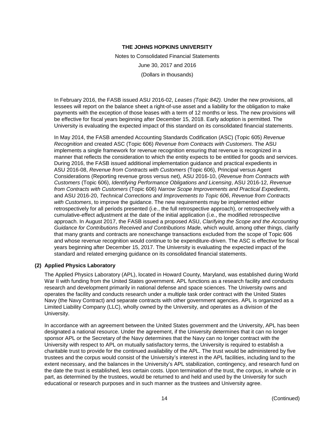Notes to Consolidated Financial Statements June 30, 2017 and 2016 (Dollars in thousands)

In February 2016, the FASB issued ASU 2016-02, *Leases (Topic 842).* Under the new provisions, all lessees will report on the balance sheet a right-of-use asset and a liability for the obligation to make payments with the exception of those leases with a term of 12 months or less. The new provisions will be effective for fiscal years beginning after December 15, 2018. Early adoption is permitted. The University is evaluating the expected impact of this standard on its consolidated financial statements.

In May 2014, the FASB amended Accounting Standards Codification (ASC) (Topic 605) *Revenue Recognition* and created ASC (Topic 606) *Revenue from Contracts with Customers*. The ASU implements a single framework for revenue recognition ensuring that revenue is recognized in a manner that reflects the consideration to which the entity expects to be entitled for goods and services. During 2016, the FASB issued additional implementation guidance and practical expedients in ASU 2016-08, *Revenue from Contracts with Customers* (Topic 606), Principal versus Agent Considerations (Reporting revenue gross versus net), ASU 2016-10, (*Revenue from Contracts with Customers* (Topic 606), *Identifying Performance Obligations and Licensing*, ASU 2016-12, *Revenue from Contracts with Customers* (Topic 606) *Narrow Scope Improvements and Practical Expedients*, and ASU 2016-20, *Technical Corrections and Improvements to Topic 606*, *Revenue from Contracts with Customers*, to improve the guidance. The new requirements may be implemented either retrospectively for all periods presented (i.e., the full retrospective approach), or retrospectively with a cumulative-effect adjustment at the date of the initial application (i.e., the modified retrospective approach. In August 2017, the FASB issued a proposed ASU, *Clarifying the Scope and the Accounting Guidance for Contributions Received and Contributions Made*, which would, among other things, clarify that many grants and contracts are nonexchange transactions excluded from the scope of Topic 606 and whose revenue recognition would continue to be expenditure-driven. The ASC is effective for fiscal years beginning after December 15, 2017. The University is evaluating the expected impact of the standard and related emerging guidance on its consolidated financial statements.

## **(2) Applied Physics Laboratory**

The Applied Physics Laboratory (APL), located in Howard County, Maryland, was established during World War II with funding from the United States government. APL functions as a research facility and conducts research and development primarily in national defense and space sciences. The University owns and operates the facility and conducts research under a multiple task order contract with the United States Navy (the Navy Contract) and separate contracts with other government agencies. APL is organized as a Limited Liability Company (LLC), wholly owned by the University, and operates as a division of the University.

In accordance with an agreement between the United States government and the University, APL has been designated a national resource. Under the agreement, if the University determines that it can no longer sponsor APL or the Secretary of the Navy determines that the Navy can no longer contract with the University with respect to APL on mutually satisfactory terms, the University is required to establish a charitable trust to provide for the continued availability of the APL. The trust would be administered by five trustees and the corpus would consist of the University's interest in the APL facilities, including land to the extent necessary, and the balances in the University's APL stabilization, contingency, and research fund on the date the trust is established, less certain costs. Upon termination of the trust, the corpus, in whole or in part, as determined by the trustees, would be returned to and held and used by the University for such educational or research purposes and in such manner as the trustees and University agree.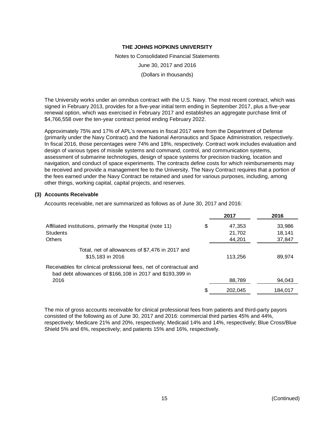Notes to Consolidated Financial Statements June 30, 2017 and 2016 (Dollars in thousands)

The University works under an omnibus contract with the U.S. Navy. The most recent contract, which was signed in February 2013, provides for a five-year initial term ending in September 2017, plus a five-year renewal option, which was exercised in February 2017 and establishes an aggregate purchase limit of \$4,766,558 over the ten-year contract period ending February 2022.

Approximately 75% and 17% of APL's revenues in fiscal 2017 were from the Department of Defense (primarily under the Navy Contract) and the National Aeronautics and Space Administration, respectively. In fiscal 2016, those percentages were 74% and 18%, respectively. Contract work includes evaluation and design of various types of missile systems and command, control, and communication systems, assessment of submarine technologies, design of space systems for precision tracking, location and navigation, and conduct of space experiments. The contracts define costs for which reimbursements may be received and provide a management fee to the University. The Navy Contract requires that a portion of the fees earned under the Navy Contract be retained and used for various purposes, including, among other things, working capital, capital projects, and reserves.

## **(3) Accounts Receivable**

Accounts receivable, net are summarized as follows as of June 30, 2017 and 2016:

|                                                                                                                                 |    | 2017    | 2016    |
|---------------------------------------------------------------------------------------------------------------------------------|----|---------|---------|
| Affiliated institutions, primarily the Hospital (note 11)                                                                       | \$ | 47,353  | 33,986  |
| <b>Students</b>                                                                                                                 |    | 21,702  | 18,141  |
| <b>Others</b>                                                                                                                   |    | 44,201  | 37,847  |
| Total, net of allowances of \$7,476 in 2017 and<br>\$15,183 in 2016                                                             |    | 113.256 | 89.974  |
| Receivables for clinical professional fees, net of contractual and<br>bad debt allowances of \$166,108 in 2017 and \$193,399 in |    |         |         |
| 2016                                                                                                                            |    | 88,789  | 94,043  |
|                                                                                                                                 | ፍ  | 202,045 | 184,017 |

The mix of gross accounts receivable for clinical professional fees from patients and third-party payors consisted of the following as of June 30, 2017 and 2016: commercial third parties 45% and 44%, respectively; Medicare 21% and 20%, respectively; Medicaid 14% and 14%, respectively; Blue Cross/Blue Shield 5% and 6%, respectively; and patients 15% and 16%, respectively.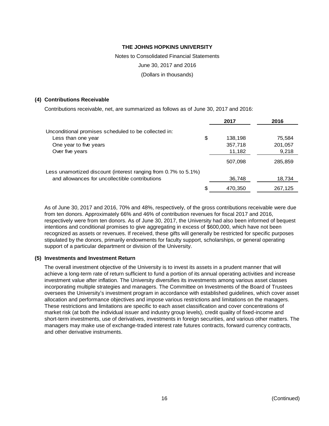## Notes to Consolidated Financial Statements June 30, 2017 and 2016 (Dollars in thousands)

#### **(4) Contributions Receivable**

Contributions receivable, net, are summarized as follows as of June 30, 2017 and 2016:

|                                                                | 2017          | 2016    |
|----------------------------------------------------------------|---------------|---------|
| Unconditional promises scheduled to be collected in:           |               |         |
| Less than one year                                             | \$<br>138,198 | 75,584  |
| One year to five years                                         | 357,718       | 201,057 |
| Over five years                                                | 11,182        | 9,218   |
|                                                                | 507,098       | 285,859 |
| Less unamortized discount (interest ranging from 0.7% to 5.1%) |               |         |
| and allowances for uncollectible contributions                 | 36,748        | 18,734  |
|                                                                | 470,350       | 267,125 |

As of June 30, 2017 and 2016, 70% and 48%, respectively, of the gross contributions receivable were due from ten donors. Approximately 66% and 46% of contribution revenues for fiscal 2017 and 2016, respectively were from ten donors. As of June 30, 2017, the University had also been informed of bequest intentions and conditional promises to give aggregating in excess of \$600,000, which have not been recognized as assets or revenues. If received, these gifts will generally be restricted for specific purposes stipulated by the donors, primarily endowments for faculty support, scholarships, or general operating support of a particular department or division of the University.

#### **(5) Investments and Investment Return**

The overall investment objective of the University is to invest its assets in a prudent manner that will achieve a long-term rate of return sufficient to fund a portion of its annual operating activities and increase investment value after inflation. The University diversifies its investments among various asset classes incorporating multiple strategies and managers. The Committee on Investments of the Board of Trustees oversees the University's investment program in accordance with established guidelines, which cover asset allocation and performance objectives and impose various restrictions and limitations on the managers. These restrictions and limitations are specific to each asset classification and cover concentrations of market risk (at both the individual issuer and industry group levels), credit quality of fixed-income and short-term investments, use of derivatives, investments in foreign securities, and various other matters. The managers may make use of exchange-traded interest rate futures contracts, forward currency contracts, and other derivative instruments.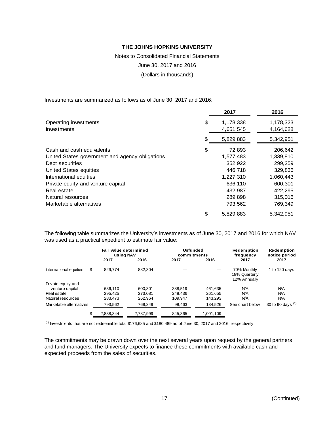## Notes to Consolidated Financial Statements June 30, 2017 and 2016 (Dollars in thousands)

Investments are summarized as follows as of June 30, 2017 and 2016:

|                                                 | 2017                         | 2016                   |
|-------------------------------------------------|------------------------------|------------------------|
| Operating investments<br><b>Investments</b>     | \$<br>1,178,338<br>4,651,545 | 1,178,323<br>4,164,628 |
|                                                 | \$<br>5,829,883              | 5,342,951              |
| Cash and cash equivalents                       | \$<br>72,893                 | 206,642                |
| United States government and agency obligations | 1,577,483                    | 1,339,810              |
| Debt securities                                 | 352,922                      | 299,259                |
| <b>United States equities</b>                   | 446,718                      | 329,836                |
| International equities                          | 1,227,310                    | 1,060,443              |
| Private equity and venture capital              | 636,110                      | 600,301                |
| Real estate                                     | 432,987                      | 422,295                |
| Natural resources                               | 289,898                      | 315,016                |
| Marketable alternatives                         | 793,562                      | 769,349                |
|                                                 | \$<br>5,829,883              | 5,342,951              |

The following table summarizes the University's investments as of June 30, 2017 and 2016 for which NAV was used as a practical expedient to estimate fair value:

|                              | Fair value determined<br>using NAV |           | <b>Unfunded</b><br>commitments |           |                                              |                     | <b>Redemption</b><br>frequency | <b>Redemption</b><br>notice period |
|------------------------------|------------------------------------|-----------|--------------------------------|-----------|----------------------------------------------|---------------------|--------------------------------|------------------------------------|
|                              | 2017                               | 2016      | 2017                           | 2016      | 2017                                         | 2017                |                                |                                    |
| \$<br>International equities | 829.774                            | 882.304   |                                |           | 70% Monthly<br>18% Quarterly<br>12% Annually | 1 to 120 days       |                                |                                    |
| Private equity and           |                                    |           |                                |           |                                              |                     |                                |                                    |
| venture capital              | 636.110                            | 600.301   | 388.519                        | 461.635   | <b>N/A</b>                                   | <b>N/A</b>          |                                |                                    |
| Real estate                  | 295.425                            | 273.081   | 248.436                        | 261.655   | <b>N/A</b>                                   | <b>N/A</b>          |                                |                                    |
| Natural resources            | 283.473                            | 262.964   | 109.947                        | 143.293   | <b>N/A</b>                                   | <b>N/A</b>          |                                |                                    |
| Marketable alternatives      | 793,562                            | 769,349   | 98.463                         | 134,526   | See chart below                              | 30 to 90 days $(1)$ |                                |                                    |
| \$                           | 2.838.344                          | 2.787.999 | 845,365                        | 1,001,109 |                                              |                     |                                |                                    |

 $^{(1)}$  Investments that are not redeemable total \$176,685 and \$180,489 as of June 30, 2017 and 2016, respectively

The commitments may be drawn down over the next several years upon request by the general partners and fund managers. The University expects to finance these commitments with available cash and expected proceeds from the sales of securities.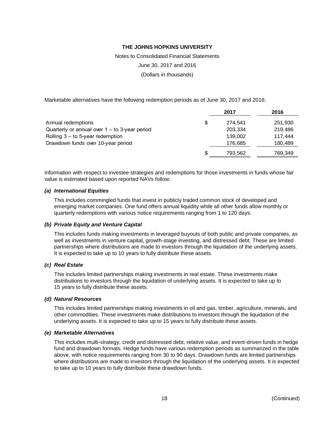Notes to Consolidated Financial Statements June 30, 2017 and 2016 (Dollars in thousands)

Marketable alternatives have the following redemption periods as of June 30, 2017 and 2016:

|                                                 | 2017          | 2016    |  |
|-------------------------------------------------|---------------|---------|--|
| Annual redemptions                              | \$<br>274.541 | 251,930 |  |
| Quarterly or annual over $1 -$ to 3-year period | 203,334       | 219,486 |  |
| Rolling $3 -$ to 5-year redemption              | 139,002       | 117,444 |  |
| Drawdown funds over 10-year period              | 176,685       | 180,489 |  |
|                                                 | \$<br>793,562 | 769,349 |  |

Information with respect to investee strategies and redemptions for those investments in funds whose fair value is estimated based upon reported NAVs follow:

#### *(a) International Equities*

This includes commingled funds that invest in publicly traded common stock of developed and emerging market companies. One fund offers annual liquidity while all other funds allow monthly or quarterly redemptions with various notice requirements ranging from 1 to 120 days.

## *(b) Private Equity and Venture Capital*

This includes funds making investments in leveraged buyouts of both public and private companies, as well as investments in venture capital, growth-stage investing, and distressed debt. These are limited partnerships where distributions are made to investors through the liquidation of the underlying assets. It is expected to take up to 10 years to fully distribute these assets.

#### *(c) Real Estate*

This includes limited partnerships making investments in real estate. These investments make distributions to investors through the liquidation of underlying assets. It is expected to take up to 15 years to fully distribute these assets.

#### *(d) Natural Resources*

This includes limited partnerships making investments in oil and gas, timber, agriculture, minerals, and other commodities. These investments make distributions to investors through the liquidation of the underlying assets. It is expected to take up to 15 years to fully distribute these assets.

#### *(e) Marketable Alternatives*

This includes multi-strategy, credit and distressed debt, relative value, and event-driven funds in hedge fund and drawdown formats. Hedge funds have various redemption periods as summarized in the table above, with notice requirements ranging from 30 to 90 days. Drawdown funds are limited partnerships where distributions are made to investors through the liquidation of the underlying assets. It is expected to take up to 10 years to fully distribute these drawdown funds.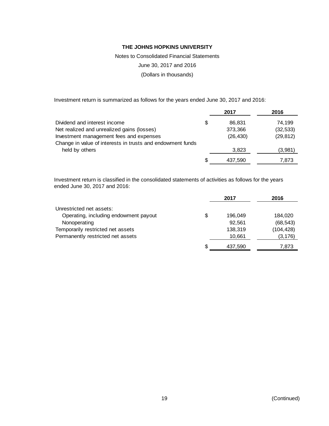Notes to Consolidated Financial Statements June 30, 2017 and 2016 (Dollars in thousands)

Investment return is summarized as follows for the years ended June 30, 2017 and 2016:

|                                                            |    | 2017      | 2016      |
|------------------------------------------------------------|----|-----------|-----------|
| Dividend and interest income                               | \$ | 86.831    | 74,199    |
| Net realized and unrealized gains (losses)                 |    | 373,366   | (32, 533) |
| Investment management fees and expenses                    |    | (26, 430) | (29, 812) |
| Change in value of interests in trusts and endowment funds |    |           |           |
| held by others                                             |    | 3,823     | (3,981)   |
|                                                            | S  | 437,590   | 7,873     |

Investment return is classified in the consolidated statements of activities as follows for the years ended June 30, 2017 and 2016:

|                                       | 2017          | 2016       |
|---------------------------------------|---------------|------------|
| Unrestricted net assets:              |               |            |
| Operating, including endowment payout | \$<br>196.049 | 184.020    |
| Nonoperating                          | 92.561        | (68, 543)  |
| Temporarily restricted net assets     | 138.319       | (104, 428) |
| Permanently restricted net assets     | 10,661        | (3, 176)   |
|                                       | \$<br>437,590 | 7,873      |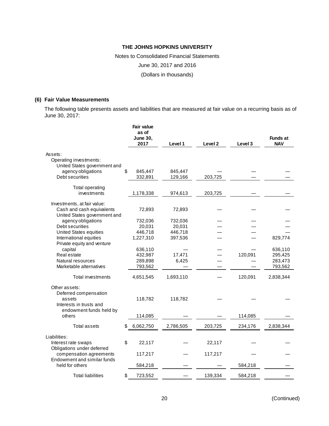## Notes to Consolidated Financial Statements June 30, 2017 and 2016 (Dollars in thousands)

#### **(6) Fair Value Measurements**

The following table presents assets and liabilities that are measured at fair value on a recurring basis as of June 30, 2017:

|                               | Fair value<br>as of<br><b>June 30,</b><br>2017 | Level 1   | Level <sub>2</sub> | Level 3 | <b>Funds at</b><br><b>NAV</b> |
|-------------------------------|------------------------------------------------|-----------|--------------------|---------|-------------------------------|
| Assets:                       |                                                |           |                    |         |                               |
| Operating investments:        |                                                |           |                    |         |                               |
| United States government and  |                                                |           |                    |         |                               |
| agency obligations            | \$<br>845,447                                  | 845,447   |                    |         |                               |
| Debt securities               | 332,891                                        | 129,166   | 203,725            |         |                               |
| Total operating               |                                                |           |                    |         |                               |
| investments                   | 1,178,338                                      | 974,613   | 203,725            |         |                               |
| Investments, at fair value:   |                                                |           |                    |         |                               |
| Cash and cash equivalents     | 72,893                                         | 72,893    |                    |         |                               |
| United States government and  |                                                |           |                    |         |                               |
| agency obligations            | 732,036                                        | 732,036   |                    |         |                               |
| Debt securities               | 20,031                                         | 20,031    |                    |         |                               |
| <b>United States equities</b> | 446,718                                        | 446,718   |                    |         |                               |
| International equities        | 1,227,310                                      | 397,536   |                    |         | 829,774                       |
| Private equity and venture    |                                                |           |                    |         |                               |
| capital                       | 636,110                                        |           |                    |         | 636,110                       |
| Real estate                   | 432,987                                        | 17,471    |                    | 120,091 | 295,425                       |
| Natural resources             | 289,898                                        | 6,425     |                    |         | 283,473                       |
| Marketable alternatives       | 793,562                                        |           |                    |         | 793,562                       |
| Total investments             | 4,651,545                                      | 1,693,110 |                    | 120,091 | 2,838,344                     |
| Other assets:                 |                                                |           |                    |         |                               |
| Deferred compensation         |                                                |           |                    |         |                               |
| assets                        | 118,782                                        | 118,782   |                    |         |                               |
| Interests in trusts and       |                                                |           |                    |         |                               |
| endowment funds held by       |                                                |           |                    |         |                               |
| others                        | 114,085                                        |           |                    | 114,085 |                               |
| Total assets                  | 6,062,750                                      | 2,786,505 | 203,725            | 234,176 | 2,838,344                     |
| Liabilities:                  |                                                |           |                    |         |                               |
| Interest rate swaps           | \$<br>22,117                                   |           | 22,117             |         |                               |
| Obligations under deferred    |                                                |           |                    |         |                               |
| compensation agreements       | 117,217                                        |           | 117,217            |         |                               |
| Endowment and similar funds   |                                                |           |                    |         |                               |
| held for others               | 584,218                                        |           |                    | 584,218 |                               |
| <b>Total liabilities</b>      | \$<br>723,552                                  |           | 139,334            | 584,218 |                               |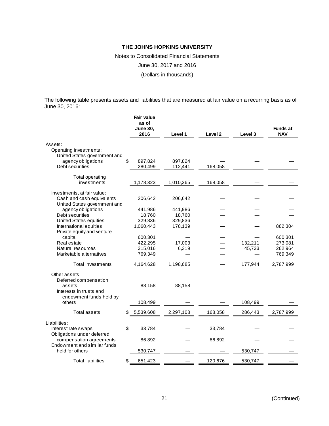Notes to Consolidated Financial Statements

June 30, 2017 and 2016

(Dollars in thousands)

The following table presents assets and liabilities that are measured at fair value on a recurring basis as of June 30, 2016:

|                               | <b>Fair value</b><br>as of<br><b>June 30,</b><br>2016 | Level 1   | Level 2 | Level 3 | <b>Funds at</b><br><b>NAV</b> |
|-------------------------------|-------------------------------------------------------|-----------|---------|---------|-------------------------------|
| Assets:                       |                                                       |           |         |         |                               |
| Operating investments:        |                                                       |           |         |         |                               |
| United States government and  |                                                       |           |         |         |                               |
| agency obligations            | \$<br>897,824                                         | 897,824   |         |         |                               |
| Debt securities               | 280,499                                               | 112,441   | 168,058 |         |                               |
| <b>Total operating</b>        |                                                       |           |         |         |                               |
| investments                   | 1,178,323                                             | 1,010,265 | 168,058 |         |                               |
| Investments, at fair value:   |                                                       |           |         |         |                               |
| Cash and cash equivalents     | 206,642                                               | 206,642   |         |         |                               |
| United States government and  |                                                       |           |         |         |                               |
| agency obligations            | 441,986                                               | 441,986   |         |         |                               |
| Debt securities               | 18,760                                                | 18,760    |         |         |                               |
| <b>United States equities</b> | 329,836                                               | 329,836   |         |         |                               |
| International equities        | 1,060,443                                             | 178,139   |         |         | 882,304                       |
| Private equity and venture    |                                                       |           |         |         |                               |
| capital                       | 600,301                                               |           |         |         | 600,301                       |
| Real estate                   | 422,295                                               | 17,003    |         | 132,211 | 273,081                       |
| Natural resources             | 315,016                                               | 6,319     |         | 45,733  | 262,964                       |
| Marketable alternatives       | 769,349                                               |           |         |         | 769,349                       |
| Total investments             | 4,164,628                                             | 1,198,685 |         | 177,944 | 2,787,999                     |
| Other assets:                 |                                                       |           |         |         |                               |
| Deferred compensation         |                                                       |           |         |         |                               |
| assets                        | 88,158                                                | 88,158    |         |         |                               |
| Interests in trusts and       |                                                       |           |         |         |                               |
| endowment funds held by       |                                                       |           |         |         |                               |
| others                        | 108,499                                               |           |         | 108,499 |                               |
| Total assets                  | \$<br>5,539,608                                       | 2,297,108 | 168,058 | 286,443 | 2,787,999                     |
| Liabilities:                  |                                                       |           |         |         |                               |
| Interest rate swaps           | \$<br>33,784                                          |           | 33,784  |         |                               |
| Obligations under deferred    |                                                       |           |         |         |                               |
| compensation agreements       | 86,892                                                |           | 86,892  |         |                               |
| Endowment and similar funds   |                                                       |           |         |         |                               |
| held for others               | 530,747                                               |           |         | 530,747 |                               |
| <b>Total liabilities</b>      | \$<br>651,423                                         |           | 120,676 | 530,747 |                               |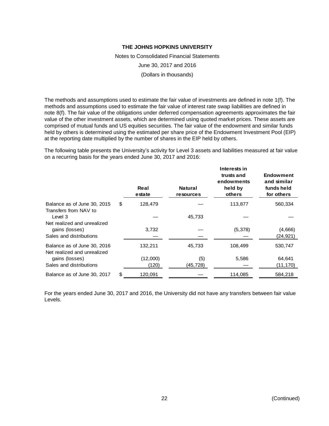Notes to Consolidated Financial Statements June 30, 2017 and 2016 (Dollars in thousands)

The methods and assumptions used to estimate the fair value of investments are defined in note 1(f). The methods and assumptions used to estimate the fair value of interest rate swap liabilities are defined in note 8(f). The fair value of the obligations under deferred compensation agreements approximates the fair value of the other investment assets, which are determined using quoted market prices. These assets are comprised of mutual funds and US equities securities. The fair value of the endowment and similar funds held by others is determined using the estimated per share price of the Endowment Investment Pool (EIP) at the reporting date multiplied by the number of shares in the EIP held by others.

The following table presents the University's activity for Level 3 assets and liabilities measured at fair value on a recurring basis for the years ended June 30, 2017 and 2016:

|                                                            | Real<br>estate | <b>Natural</b><br><b>resources</b> | Interests in<br>trusts and<br>endowments<br>held by<br>others | <b>Endowment</b><br>and similar<br>funds held<br>for others |
|------------------------------------------------------------|----------------|------------------------------------|---------------------------------------------------------------|-------------------------------------------------------------|
| Balance as of June 30, 2015<br>Transfers from NAV to       | \$<br>128,479  |                                    | 113,877                                                       | 560,334                                                     |
| Level 3                                                    |                | 45.733                             |                                                               |                                                             |
| Net realized and unrealized                                |                |                                    |                                                               |                                                             |
| gains (losses)                                             | 3,732          |                                    | (5,378)                                                       | (4,666)                                                     |
| Sales and distributions                                    |                |                                    |                                                               | (24, 921)                                                   |
| Balance as of June 30, 2016<br>Net realized and unrealized | 132,211        | 45,733                             | 108,499                                                       | 530,747                                                     |
| gains (losses)                                             | (12,000)       | (5)                                | 5,586                                                         | 64,641                                                      |
| Sales and distributions                                    | (120)          | (45, 728)                          |                                                               | (11, 170)                                                   |
| Balance as of June 30, 2017                                | \$<br>120,091  |                                    | 114,085                                                       | 584,218                                                     |

For the years ended June 30, 2017 and 2016, the University did not have any transfers between fair value Levels.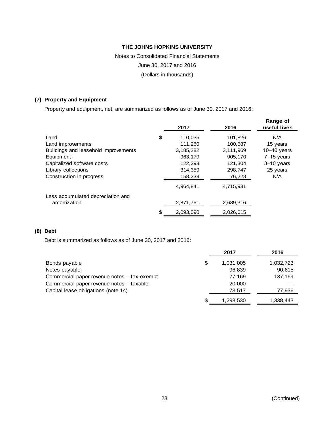## Notes to Consolidated Financial Statements June 30, 2017 and 2016 (Dollars in thousands)

## **(7) Property and Equipment**

Property and equipment, net, are summarized as follows as of June 30, 2017 and 2016:

|                                      | 2017            | 2016      | Range of<br>useful lives |
|--------------------------------------|-----------------|-----------|--------------------------|
| Land                                 | \$<br>110,035   | 101,826   | N/A                      |
| Land improvements                    | 111,260         | 100,687   | 15 years                 |
| Buildings and leasehold improvements | 3,185,282       | 3,111,969 | $10-40$ years            |
| Equipment                            | 963,179         | 905,170   | $7-15$ years             |
| Capitalized software costs           | 122,393         | 121,304   | $3-10$ years             |
| Library collections                  | 314,359         | 298,747   | 25 years                 |
| Construction in progress             | 158,333         | 76,228    | N/A                      |
|                                      | 4,964,841       | 4,715,931 |                          |
| Less accumulated depreciation and    |                 |           |                          |
| amortization                         | 2,871,751       | 2,689,316 |                          |
|                                      | \$<br>2,093,090 | 2,026,615 |                          |

## **(8) Debt**

Debt is summarized as follows as of June 30, 2017 and 2016:

|                                             | 2017            | 2016      |
|---------------------------------------------|-----------------|-----------|
| Bonds payable                               | \$<br>1,031,005 | 1,032,723 |
| Notes payable                               | 96,839          | 90,615    |
| Commercial paper revenue notes - tax-exempt | 77.169          | 137,169   |
| Commercial paper revenue notes - taxable    | 20,000          |           |
| Capital lease obligations (note 14)         | 73.517          | 77,936    |
|                                             | \$<br>1,298,530 | 1,338,443 |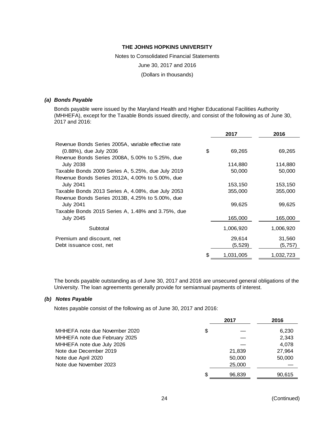## Notes to Consolidated Financial Statements June 30, 2017 and 2016 (Dollars in thousands)

#### *(a) Bonds Payable*

Bonds payable were issued by the Maryland Health and Higher Educational Facilities Authority (MHHEFA), except for the Taxable Bonds issued directly, and consist of the following as of June 30, 2017 and 2016:

|                                                                               | 2017         | 2016      |
|-------------------------------------------------------------------------------|--------------|-----------|
| Revenue Bonds Series 2005A, variable effective rate<br>(0.88%), due July 2036 | \$<br>69,265 | 69,265    |
| Revenue Bonds Series 2008A, 5.00% to 5.25%, due                               |              |           |
| <b>July 2038</b>                                                              | 114,880      | 114,880   |
| Taxable Bonds 2009 Series A, 5.25%, due July 2019                             | 50,000       | 50,000    |
| Revenue Bonds Series 2012A, 4.00% to 5.00%, due                               |              |           |
| <b>July 2041</b>                                                              | 153,150      | 153,150   |
| Taxable Bonds 2013 Series A, 4.08%, due July 2053                             | 355,000      | 355,000   |
| Revenue Bonds Series 2013B, 4.25% to 5.00%, due                               |              |           |
| <b>July 2041</b>                                                              | 99,625       | 99,625    |
| Taxable Bonds 2015 Series A, 1.48% and 3.75%, due                             |              |           |
| <b>July 2045</b>                                                              | 165,000      | 165,000   |
| Subtotal                                                                      | 1,006,920    | 1,006,920 |
| Premium and discount, net                                                     | 29,614       | 31,560    |
| Debt issuance cost, net                                                       | (5,529)      | (5, 757)  |
|                                                                               | 1,031,005    | 1,032,723 |

The bonds payable outstanding as of June 30, 2017 and 2016 are unsecured general obligations of the University. The loan agreements generally provide for semiannual payments of interest.

#### *(b) Notes Payable*

Notes payable consist of the following as of June 30, 2017 and 2016:

|                               | 2017         | 2016   |
|-------------------------------|--------------|--------|
| MHHEFA note due November 2020 | \$           | 6,230  |
| MHHEFA note due February 2025 |              | 2,343  |
| MHHEFA note due July 2026     |              | 4,078  |
| Note due December 2019        | 21,839       | 27,964 |
| Note due April 2020           | 50,000       | 50,000 |
| Note due November 2023        | 25,000       |        |
|                               | \$<br>96,839 | 90.615 |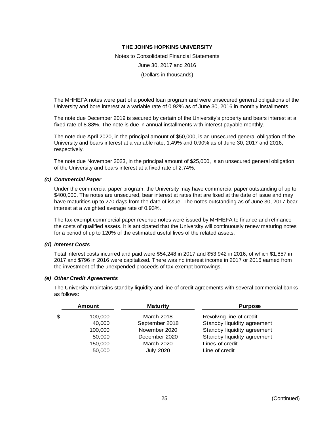Notes to Consolidated Financial Statements June 30, 2017 and 2016 (Dollars in thousands)

The MHHEFA notes were part of a pooled loan program and were unsecured general obligations of the University and bore interest at a variable rate of 0.92% as of June 30, 2016 in monthly installments.

The note due December 2019 is secured by certain of the University's property and bears interest at a fixed rate of 8.88%. The note is due in annual installments with interest payable monthly.

The note due April 2020, in the principal amount of \$50,000, is an unsecured general obligation of the University and bears interest at a variable rate, 1.49% and 0.90% as of June 30, 2017 and 2016, respectively.

The note due November 2023, in the principal amount of \$25,000, is an unsecured general obligation of the University and bears interest at a fixed rate of 2.74%.

#### *(c) Commercial Paper*

Under the commercial paper program, the University may have commercial paper outstanding of up to \$400,000. The notes are unsecured, bear interest at rates that are fixed at the date of issue and may have maturities up to 270 days from the date of issue. The notes outstanding as of June 30, 2017 bear interest at a weighted average rate of 0.93%.

The tax-exempt commercial paper revenue notes were issued by MHHEFA to finance and refinance the costs of qualified assets. It is anticipated that the University will continuously renew maturing notes for a period of up to 120% of the estimated useful lives of the related assets.

#### *(d) Interest Costs*

Total interest costs incurred and paid were \$54,248 in 2017 and \$53,942 in 2016, of which \$1,857 in 2017 and \$796 in 2016 were capitalized. There was no interest income in 2017 or 2016 earned from the investment of the unexpended proceeds of tax-exempt borrowings.

#### *(e) Other Credit Agreements*

The University maintains standby liquidity and line of credit agreements with several commercial banks as follows:

|                            | <b>Amount</b> | <b>Maturity</b>   | <b>Purpose</b>              |
|----------------------------|---------------|-------------------|-----------------------------|
| $\boldsymbol{\mathsf{\$}}$ | 100,000       | March 2018        | Revolving line of credit    |
|                            | 40,000        | September 2018    | Standby liquidity agreement |
|                            | 100,000       | November 2020     | Standby liquidity agreement |
|                            | 50,000        | December 2020     | Standby liquidity agreement |
|                            | 150,000       | <b>March 2020</b> | Lines of credit             |
|                            | 50,000        | <b>July 2020</b>  | Line of credit              |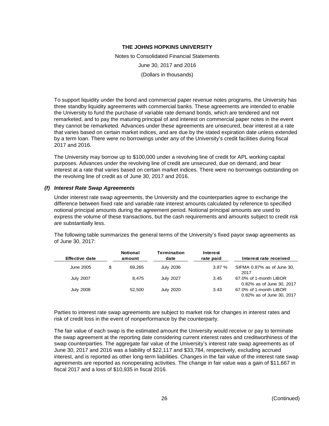Notes to Consolidated Financial Statements June 30, 2017 and 2016 (Dollars in thousands)

To support liquidity under the bond and commercial paper revenue notes programs, the University has three standby liquidity agreements with commercial banks. These agreements are intended to enable the University to fund the purchase of variable rate demand bonds, which are tendered and not remarketed, and to pay the maturing principal of and interest on commercial paper notes in the event they cannot be remarketed. Advances under these agreements are unsecured, bear interest at a rate that varies based on certain market indices, and are due by the stated expiration date unless extended by a term loan. There were no borrowings under any of the University's credit facilities during fiscal 2017 and 2016.

The University may borrow up to \$100,000 under a revolving line of credit for APL working capital purposes. Advances under the revolving line of credit are unsecured, due on demand, and bear interest at a rate that varies based on certain market indices. There were no borrowings outstanding on the revolving line of credit as of June 30, 2017 and 2016.

## *(f) Interest Rate Swap Agreements*

Under interest rate swap agreements, the University and the counterparties agree to exchange the difference between fixed rate and variable rate interest amounts calculated by reference to specified notional principal amounts during the agreement period. Notional principal amounts are used to express the volume of these transactions, but the cash requirements and amounts subject to credit risk are substantially less.

The following table summarizes the general terms of the University's fixed payor swap agreements as of June 30, 2017:

| <b>Effective date</b> | <b>Notional</b><br>amount | <b>Termination</b><br>date | Interest<br>rate paid | Interest rate received                              |
|-----------------------|---------------------------|----------------------------|-----------------------|-----------------------------------------------------|
| June 2005             | \$<br>69.265              | <b>July 2036</b>           | 3.87%                 | SIFMA 0.87% as of June 30,<br>2017                  |
| <b>July 2007</b>      | 8.475                     | <b>July 2027</b>           | 3.45                  | 67.0% of 1-month LIBOR<br>0.82% as of June 30, 2017 |
| <b>July 2008</b>      | 52.500                    | <b>July 2020</b>           | 3.43                  | 67.0% of 1-month LIBOR<br>0.82% as of June 30, 2017 |

Parties to interest rate swap agreements are subject to market risk for changes in interest rates and risk of credit loss in the event of nonperformance by the counterparty.

The fair value of each swap is the estimated amount the University would receive or pay to terminate the swap agreement at the reporting date considering current interest rates and creditworthiness of the swap counterparties. The aggregate fair value of the University's interest rate swap agreements as of June 30, 2017 and 2016 was a liability of \$22,117 and \$33,784, respectively, excluding accrued interest, and is reported as other long-term liabilities. Changes in the fair value of the interest rate swap agreements are reported as nonoperating activities. The change in fair value was a gain of \$11,667 in fiscal 2017 and a loss of \$10,935 in fiscal 2016.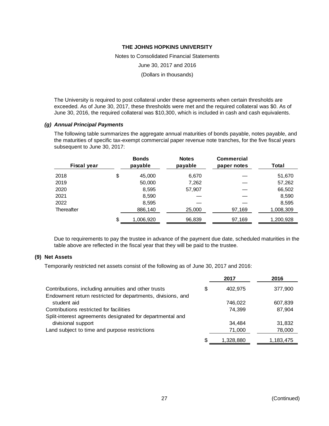Notes to Consolidated Financial Statements June 30, 2017 and 2016 (Dollars in thousands)

The University is required to post collateral under these agreements when certain thresholds are exceeded. As of June 30, 2017, these thresholds were met and the required collateral was \$0. As of June 30, 2016, the required collateral was \$10,300, which is included in cash and cash equivalents.

#### *(g) Annual Principal Payments*

The following table summarizes the aggregate annual maturities of bonds payable, notes payable, and the maturities of specific tax-exempt commercial paper revenue note tranches, for the five fiscal years subsequent to June 30, 2017:

| Fiscal year | <b>Bonds</b><br>payable | <b>Notes</b><br>payable | <b>Commercial</b><br>paper notes | Total     |
|-------------|-------------------------|-------------------------|----------------------------------|-----------|
| 2018        | \$<br>45,000            | 6,670                   |                                  | 51,670    |
| 2019        | 50,000                  | 7,262                   |                                  | 57,262    |
| 2020        | 8,595                   | 57,907                  |                                  | 66,502    |
| 2021        | 8,590                   |                         |                                  | 8,590     |
| 2022        | 8,595                   |                         |                                  | 8,595     |
| Thereafter  | 886,140                 | 25,000                  | 97,169                           | 1,008,309 |
|             | \$<br>1,006,920         | 96,839                  | 97,169                           | 1,200,928 |

Due to requirements to pay the trustee in advance of the payment due date, scheduled maturities in the table above are reflected in the fiscal year that they will be paid to the trustee.

#### **(9) Net Assets**

Temporarily restricted net assets consist of the following as of June 30, 2017 and 2016:

|                                                             |   | 2017      | 2016      |
|-------------------------------------------------------------|---|-----------|-----------|
| Contributions, including annuities and other trusts         | S | 402,975   | 377,900   |
| Endowment return restricted for departments, divisions, and |   |           |           |
| student aid                                                 |   | 746,022   | 607,839   |
| Contributions restricted for facilities                     |   | 74.399    | 87,904    |
| Split-interest agreements designated for departmental and   |   |           |           |
| divisional support                                          |   | 34.484    | 31,832    |
| Land subject to time and purpose restrictions               |   | 71,000    | 78,000    |
|                                                             | S | 1,328,880 | 1,183,475 |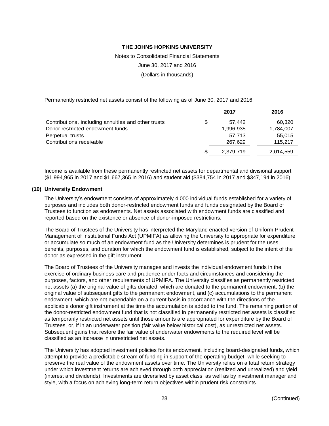Notes to Consolidated Financial Statements June 30, 2017 and 2016 (Dollars in thousands)

Permanently restricted net assets consist of the following as of June 30, 2017 and 2016:

|                                                     |   | 2017      | 2016      |
|-----------------------------------------------------|---|-----------|-----------|
| Contributions, including annuities and other trusts | S | 57.442    | 60,320    |
| Donor restricted endowment funds                    |   | 1,996,935 | 1,784,007 |
| Perpetual trusts                                    |   | 57.713    | 55,015    |
| Contributions receivable                            |   | 267,629   | 115,217   |
|                                                     | S | 2,379,719 | 2,014,559 |

Income is available from these permanently restricted net assets for departmental and divisional support (\$1,994,965 in 2017 and \$1,667,365 in 2016) and student aid (\$384,754 in 2017 and \$347,194 in 2016).

## **(10) University Endowment**

The University's endowment consists of approximately 4,000 individual funds established for a variety of purposes and includes both donor-restricted endowment funds and funds designated by the Board of Trustees to function as endowments. Net assets associated with endowment funds are classified and reported based on the existence or absence of donor-imposed restrictions.

The Board of Trustees of the University has interpreted the Maryland enacted version of Uniform Prudent Management of Institutional Funds Act (UPMIFA) as allowing the University to appropriate for expenditure or accumulate so much of an endowment fund as the University determines is prudent for the uses, benefits, purposes, and duration for which the endowment fund is established, subject to the intent of the donor as expressed in the gift instrument.

The Board of Trustees of the University manages and invests the individual endowment funds in the exercise of ordinary business care and prudence under facts and circumstances and considering the purposes, factors, and other requirements of UPMIFA. The University classifies as permanently restricted net assets (a) the original value of gifts donated, which are donated to the permanent endowment, (b) the original value of subsequent gifts to the permanent endowment, and (c) accumulations to the permanent endowment, which are not expendable on a current basis in accordance with the directions of the applicable donor gift instrument at the time the accumulation is added to the fund. The remaining portion of the donor-restricted endowment fund that is not classified in permanently restricted net assets is classified as temporarily restricted net assets until those amounts are appropriated for expenditure by the Board of Trustees, or, if in an underwater position (fair value below historical cost), as unrestricted net assets. Subsequent gains that restore the fair value of underwater endowments to the required level will be classified as an increase in unrestricted net assets.

The University has adopted investment policies for its endowment, including board-designated funds, which attempt to provide a predictable stream of funding in support of the operating budget, while seeking to preserve the real value of the endowment assets over time. The University relies on a total return strategy under which investment returns are achieved through both appreciation (realized and unrealized) and yield (interest and dividends). Investments are diversified by asset class, as well as by investment manager and style, with a focus on achieving long-term return objectives within prudent risk constraints.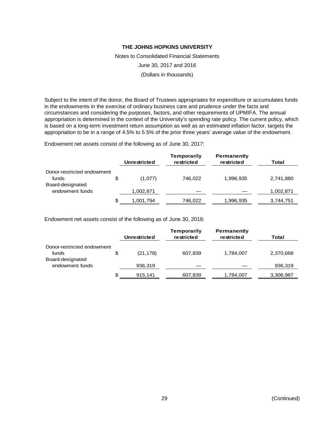Notes to Consolidated Financial Statements June 30, 2017 and 2016 (Dollars in thousands)

Subject to the intent of the donor, the Board of Trustees appropriates for expenditure or accumulates funds in the endowments in the exercise of ordinary business care and prudence under the facts and circumstances and considering the purposes, factors, and other requirements of UPMIFA. The annual appropriation is determined in the context of the University's spending rate policy. The current policy, which is based on a long-term investment return assumption as well as an estimated inflation factor, targets the appropriation to be in a range of 4.5% to 5.5% of the prior three years' average value of the endowment.

Endowment net assets consist of the following as of June 30, 2017:

|                            | <b>Unrestricted</b> | Temporarily<br>restricted | <b>Permanently</b><br>restricted | Total     |
|----------------------------|---------------------|---------------------------|----------------------------------|-----------|
| Donor-restricted endowment |                     |                           |                                  |           |
| funds                      | (1,077)             | 746.022                   | 1.996.935                        | 2,741,880 |
| Board-designated           |                     |                           |                                  |           |
| endowment funds            | 1,002,871           |                           |                                  | 1,002,871 |
|                            | 1,001,794           | 746,022                   | 1,996,935                        | 3,744,751 |

Endowment net assets consist of the following as of June 30, 2016:

|                            | <b>Unrestricted</b> | Temporarily<br>restricted | <b>Permanently</b><br>restricted | Total     |
|----------------------------|---------------------|---------------------------|----------------------------------|-----------|
| Donor-restricted endowment |                     |                           |                                  |           |
| funds                      | \$<br>(21, 178)     | 607,839                   | 1,784,007                        | 2,370,668 |
| Board-designated           |                     |                           |                                  |           |
| endowment funds            | 936,319             |                           |                                  | 936,319   |
|                            | \$<br>915,141       | 607,839                   | 1,784,007                        | 3,306,987 |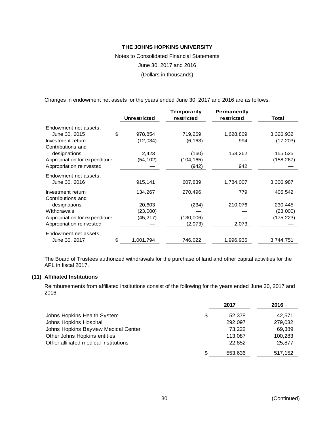Notes to Consolidated Financial Statements June 30, 2017 and 2016 (Dollars in thousands)

Changes in endowment net assets for the years ended June 30, 2017 and 2016 are as follows:

|                               | <b>Unrestricted</b> | <b>Temporarily</b><br>restricted | <b>Permanently</b><br>restricted | Total      |
|-------------------------------|---------------------|----------------------------------|----------------------------------|------------|
| Endowment net assets,         |                     |                                  |                                  |            |
| June 30, 2015                 | \$<br>978,854       | 719,269                          | 1,628,809                        | 3,326,932  |
| Investment return             | (12,034)            | (6, 163)                         | 994                              | (17, 203)  |
| Contributions and             |                     |                                  |                                  |            |
| designations                  | 2,423               | (160)                            | 153,262                          | 155,525    |
| Appropriation for expenditure | (54, 102)           | (104, 165)                       |                                  | (158,267)  |
| Appropriation reinvested      |                     | (942)                            | 942                              |            |
| Endowment net assets,         |                     |                                  |                                  |            |
| June 30, 2016                 | 915,141             | 607,839                          | 1,784,007                        | 3,306,987  |
| Investment return             | 134,267             | 270,496                          | 779                              | 405,542    |
| Contributions and             |                     |                                  |                                  |            |
| designations                  | 20,603              | (234)                            | 210,076                          | 230,445    |
| Withdrawals                   | (23,000)            |                                  |                                  | (23,000)   |
| Appropriation for expenditure | (45, 217)           | (130,006)                        |                                  | (175, 223) |
| Appropriation reinvested      |                     | (2,073)                          | 2,073                            |            |
| Endowment net assets,         |                     |                                  |                                  |            |
| June 30, 2017                 | \$<br>1,001,794     | 746,022                          | 1,996,935                        | 3,744,751  |

The Board of Trustees authorized withdrawals for the purchase of land and other capital activities for the APL in fiscal 2017.

#### **(11) Affiliated Institutions**

Reimbursements from affiliated institutions consist of the following for the years ended June 30, 2017 and 2016:

|                                       |     | 2017    | 2016    |
|---------------------------------------|-----|---------|---------|
| Johns Hopkins Health System           | \$  | 52,378  | 42.571  |
| Johns Hopkins Hospital                |     | 292,097 | 279,032 |
| Johns Hopkins Bayview Medical Center  |     | 73.222  | 69,389  |
| Other Johns Hopkins entities          |     | 113,087 | 100,283 |
| Other affiliated medical institutions |     | 22.852  | 25,877  |
|                                       | \$. | 553,636 | 517,152 |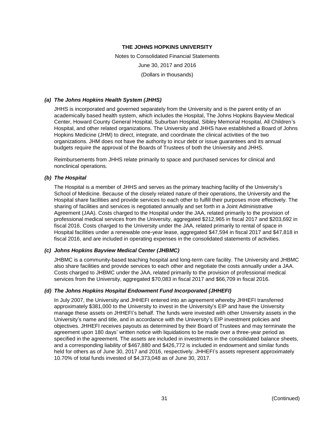Notes to Consolidated Financial Statements June 30, 2017 and 2016 (Dollars in thousands)

## *(a) The Johns Hopkins Health System (JHHS)*

JHHS is incorporated and governed separately from the University and is the parent entity of an academically based health system, which includes the Hospital, The Johns Hopkins Bayview Medical Center, Howard County General Hospital, Suburban Hospital, Sibley Memorial Hospital, All Children's Hospital, and other related organizations. The University and JHHS have established a Board of Johns Hopkins Medicine (JHM) to direct, integrate, and coordinate the clinical activities of the two organizations. JHM does not have the authority to incur debt or issue guarantees and its annual budgets require the approval of the Boards of Trustees of both the University and JHHS.

Reimbursements from JHHS relate primarily to space and purchased services for clinical and nonclinical operations.

## *(b) The Hospital*

The Hospital is a member of JHHS and serves as the primary teaching facility of the University's School of Medicine. Because of the closely related nature of their operations, the University and the Hospital share facilities and provide services to each other to fulfill their purposes more effectively. The sharing of facilities and services is negotiated annually and set forth in a Joint Administrative Agreement (JAA). Costs charged to the Hospital under the JAA, related primarily to the provision of professional medical services from the University, aggregated \$212,965 in fiscal 2017 and \$203,692 in fiscal 2016. Costs charged to the University under the JAA, related primarily to rental of space in Hospital facilities under a renewable one-year lease, aggregated \$47,594 in fiscal 2017 and \$47,818 in fiscal 2016, and are included in operating expenses in the consolidated statements of activities.

## *(c) Johns Hopkins Bayview Medical Center (JHBMC)*

JHBMC is a community-based teaching hospital and long-term care facility. The University and JHBMC also share facilities and provide services to each other and negotiate the costs annually under a JAA. Costs charged to JHBMC under the JAA, related primarily to the provision of professional medical services from the University, aggregated \$70,083 in fiscal 2017 and \$66,709 in fiscal 2016.

## *(d) The Johns Hopkins Hospital Endowment Fund Incorporated (JHHEFI)*

In July 2007, the University and JHHEFI entered into an agreement whereby JHHEFI transferred approximately \$381,000 to the University to invest in the University's EIP and have the University manage these assets on JHHEFI's behalf. The funds were invested with other University assets in the University's name and title, and in accordance with the University's EIP investment policies and objectives. JHHEFI receives payouts as determined by their Board of Trustees and may terminate the agreement upon 180 days' written notice with liquidations to be made over a three-year period as specified in the agreement. The assets are included in investments in the consolidated balance sheets, and a corresponding liability of \$467,880 and \$426,772 is included in endowment and similar funds held for others as of June 30, 2017 and 2016, respectively. JHHEFI's assets represent approximately 10.70% of total funds invested of \$4,373,048 as of June 30, 2017.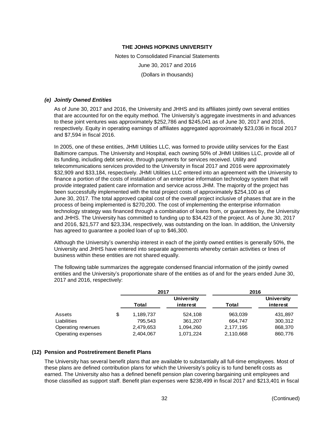Notes to Consolidated Financial Statements June 30, 2017 and 2016 (Dollars in thousands)

## *(e) Jointly Owned Entities*

As of June 30, 2017 and 2016, the University and JHHS and its affiliates jointly own several entities that are accounted for on the equity method. The University's aggregate investments in and advances to these joint ventures was approximately \$252,786 and \$245,041 as of June 30, 2017 and 2016, respectively. Equity in operating earnings of affiliates aggregated approximately \$23,036 in fiscal 2017 and \$7,594 in fiscal 2016.

In 2005, one of these entities, JHMI Utilities LLC, was formed to provide utility services for the East Baltimore campus. The University and Hospital, each owning 50% of JHMI Utilities LLC, provide all of its funding, including debt service, through payments for services received. Utility and telecommunications services provided to the University in fiscal 2017 and 2016 were approximately \$32,909 and \$33,184, respectively. JHMI Utilities LLC entered into an agreement with the University to finance a portion of the costs of installation of an enterprise information technology system that will provide integrated patient care information and service across JHM. The majority of the project has been successfully implemented with the total project costs of approximately \$254,100 as of June 30, 2017. The total approved capital cost of the overall project inclusive of phases that are in the process of being implemented is \$270,200. The cost of implementing the enterprise information technology strategy was financed through a combination of loans from, or guarantees by, the University and JHHS. The University has committed to funding up to \$34,423 of the project. As of June 30, 2017 and 2016, \$21,577 and \$23,334, respectively, was outstanding on the loan. In addition, the University has agreed to guarantee a pooled loan of up to \$46,300.

Although the University's ownership interest in each of the jointly owned entities is generally 50%, the University and JHHS have entered into separate agreements whereby certain activities or lines of business within these entities are not shared equally.

The following table summarizes the aggregate condensed financial information of the jointly owned entities and the University's proportionate share of the entities as of and for the years ended June 30, 2017 and 2016, respectively:

|                    | 2017            |                   | 2016      |                   |
|--------------------|-----------------|-------------------|-----------|-------------------|
|                    |                 | <b>University</b> |           | <b>University</b> |
|                    | Total           | interest          | Total     | interest          |
| Assets             | \$<br>1,189,737 | 524,108           | 963,039   | 431,897           |
| Liabilities        | 795.543         | 361,207           | 664,747   | 300,312           |
| Operating revenues | 2,479,653       | 1,094,260         | 2,177,195 | 868,370           |
| Operating expenses | 2,404,067       | 1,071,224         | 2,110,668 | 860,776           |

## **(12) Pension and Postretirement Benefit Plans**

The University has several benefit plans that are available to substantially all full-time employees. Most of these plans are defined contribution plans for which the University's policy is to fund benefit costs as earned. The University also has a defined benefit pension plan covering bargaining unit employees and those classified as support staff. Benefit plan expenses were \$238,499 in fiscal 2017 and \$213,401 in fiscal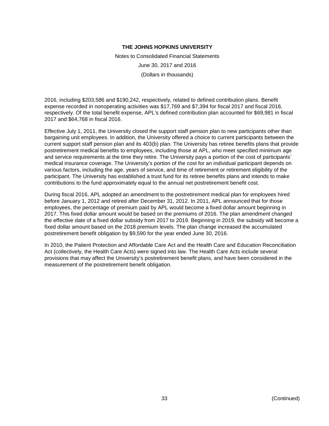Notes to Consolidated Financial Statements June 30, 2017 and 2016 (Dollars in thousands)

2016, including \$203,586 and \$190,242, respectively, related to defined contribution plans. Benefit expense recorded in nonoperating activities was \$17,769 and \$7,394 for fiscal 2017 and fiscal 2016, respectively. Of the total benefit expense, APL's defined contribution plan accounted for \$69,981 in fiscal 2017 and \$64,768 in fiscal 2016.

Effective July 1, 2011, the University closed the support staff pension plan to new participants other than bargaining unit employees. In addition, the University offered a choice to current participants between the current support staff pension plan and its 403(b) plan. The University has retiree benefits plans that provide postretirement medical benefits to employees, including those at APL, who meet specified minimum age and service requirements at the time they retire. The University pays a portion of the cost of participants' medical insurance coverage. The University's portion of the cost for an individual participant depends on various factors, including the age, years of service, and time of retirement or retirement eligibility of the participant. The University has established a trust fund for its retiree benefits plans and intends to make contributions to the fund approximately equal to the annual net postretirement benefit cost.

During fiscal 2016, APL adopted an amendment to the postretirement medical plan for employees hired before January 1, 2012 and retired after December 31, 2012. In 2011, APL announced that for those employees, the percentage of premium paid by APL would become a fixed dollar amount beginning in 2017. This fixed dollar amount would be based on the premiums of 2016. The plan amendment changed the effective date of a fixed dollar subsidy from 2017 to 2019. Beginning in 2019, the subsidy will become a fixed dollar amount based on the 2018 premium levels. The plan change increased the accumulated postretirement benefit obligation by \$9,590 for the year ended June 30, 2016.

In 2010, the Patient Protection and Affordable Care Act and the Health Care and Education Reconciliation Act (collectively, the Health Care Acts) were signed into law. The Health Care Acts include several provisions that may affect the University's postretirement benefit plans, and have been considered in the measurement of the postretirement benefit obligation.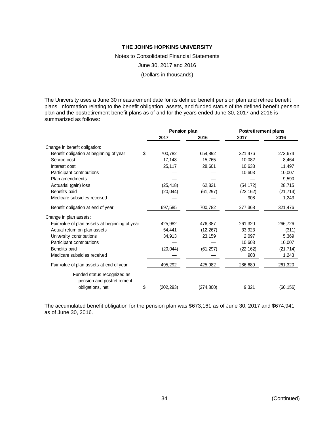Notes to Consolidated Financial Statements

June 30, 2017 and 2016

(Dollars in thousands)

The University uses a June 30 measurement date for its defined benefit pension plan and retiree benefit plans. Information relating to the benefit obligation, assets, and funded status of the defined benefit pension plan and the postretirement benefit plans as of and for the years ended June 30, 2017 and 2016 is summarized as follows:

|                                                           | Pension plan  |            | <b>Postretirement plans</b> |           |
|-----------------------------------------------------------|---------------|------------|-----------------------------|-----------|
|                                                           | 2017          | 2016       | 2017                        | 2016      |
| Change in benefit obligation:                             |               |            |                             |           |
| Benefit obligation at beginning of year                   | \$<br>700,782 | 654,892    | 321,476                     | 273,674   |
| Service cost                                              | 17,148        | 15,765     | 10,082                      | 8,464     |
| Interest cost                                             | 25,117        | 28,601     | 10,633                      | 11,497    |
| Participant contributions                                 |               |            | 10,603                      | 10,007    |
| Plan amendments                                           |               |            |                             | 9,590     |
| Actuarial (gain) loss                                     | (25, 418)     | 62,821     | (54, 172)                   | 28,715    |
| Benefits paid                                             | (20, 044)     | (61, 297)  | (22, 162)                   | (21, 714) |
| Medicare subsidies received                               |               |            | 908                         | 1,243     |
| Benefit obligation at end of year                         | 697,585       | 700,782    | 277,368                     | 321,476   |
| Change in plan assets:                                    |               |            |                             |           |
| Fair value of plan assets at beginning of year            | 425,982       | 476,387    | 261,320                     | 266,726   |
| Actual return on plan assets                              | 54.441        | (12, 267)  | 33,923                      | (311)     |
| University contributions                                  | 34,913        | 23,159     | 2,097                       | 5,369     |
| Participant contributions                                 |               |            | 10,603                      | 10,007    |
| Benefits paid                                             | (20, 044)     | (61, 297)  | (22, 162)                   | (21, 714) |
| Medicare subsidies received                               |               |            | 908                         | 1,243     |
| Fair value of plan assets at end of year                  | 495,292       | 425,982    | 286,689                     | 261,320   |
| Funded status recognized as<br>pension and postretirement |               |            |                             |           |
| obligations, net                                          | (202,293)     | (274, 800) | 9,321                       | (60,156)  |

The accumulated benefit obligation for the pension plan was \$673,161 as of June 30, 2017 and \$674,941 as of June 30, 2016.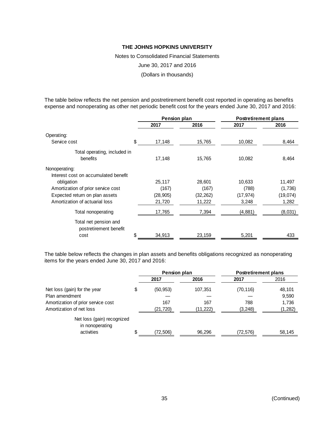Notes to Consolidated Financial Statements

June 30, 2017 and 2016

(Dollars in thousands)

The table below reflects the net pension and postretirement benefit cost reported in operating as benefits expense and nonoperating as other net periodic benefit cost for the years ended June 30, 2017 and 2016:

|                                      | Pension plan |           | <b>Postretirement plans</b> |          |  |
|--------------------------------------|--------------|-----------|-----------------------------|----------|--|
|                                      | 2017         | 2016      | 2017                        | 2016     |  |
| Operating:                           |              |           |                             |          |  |
| Service cost                         | \$<br>17,148 | 15,765    | 10,082                      | 8,464    |  |
| Total operating, included in         |              |           |                             |          |  |
| benefits                             | 17,148       | 15,765    | 10,082                      | 8,464    |  |
| Nonoperating:                        |              |           |                             |          |  |
| Interest cost on accumulated benefit |              |           |                             |          |  |
| obligation                           | 25,117       | 28,601    | 10,633                      | 11,497   |  |
| Amortization of prior service cost   | (167)        | (167)     | (788)                       | (1,736)  |  |
| Expected return on plan assets       | (28,905)     | (32, 262) | (17, 974)                   | (19,074) |  |
| Amortization of actuarial loss       | 21,720       | 11,222    | 3,248                       | 1,282    |  |
| Total nonoperating                   | 17,765       | 7,394     | (4,881)                     | (8,031)  |  |
| Total net pension and                |              |           |                             |          |  |
| postretirement benefit               |              |           |                             |          |  |
| cost                                 | \$<br>34,913 | 23,159    | 5,201                       | 433      |  |

The table below reflects the changes in plan assets and benefits obligations recognized as nonoperating items for the years ended June 30, 2017 and 2016:

|                                    | Pension plan    |          | <b>Postretirement plans</b> |         |  |
|------------------------------------|-----------------|----------|-----------------------------|---------|--|
|                                    | 2017            | 2016     | 2017                        | 2016    |  |
| Net loss (gain) for the year       | \$<br>(50, 953) | 107,351  | (70, 116)                   | 48,101  |  |
| Plan amendment                     |                 |          |                             | 9,590   |  |
| Amortization of prior service cost | 167             | 167      | 788                         | 1,736   |  |
| Amortization of net loss           | (21,720)        | (11,222) | (3, 248)                    | (1,282) |  |
| Net loss (gain) recognized         |                 |          |                             |         |  |
| in nonoperating                    |                 |          |                             |         |  |
| activities                         | \$<br>(72,506)  | 96.296   | (72,576)                    | 58,145  |  |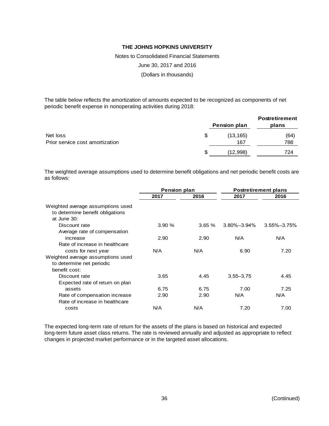Notes to Consolidated Financial Statements June 30, 2017 and 2016 (Dollars in thousands)

The table below reflects the amortization of amounts expected to be recognized as components of net periodic benefit expense in nonoperating activities during 2018:

|                                             |    | <b>Pension plan</b> | <b>Postretirement</b><br>plans |
|---------------------------------------------|----|---------------------|--------------------------------|
| Net loss<br>Prior service cost amortization | \$ | (13, 165)<br>167    | (64)<br>788                    |
|                                             | S  | (12,998)            | 724                            |

The weighted average assumptions used to determine benefit obligations and net periodic benefit costs are as follows:

|                                                                                      | Pension plan |       | <b>Postretirement plans</b> |                   |  |
|--------------------------------------------------------------------------------------|--------------|-------|-----------------------------|-------------------|--|
|                                                                                      | 2017         | 2016  | 2017                        | 2016              |  |
| Weighted average assumptions used<br>to determine benefit obligations<br>at June 30: |              |       |                             |                   |  |
| Discount rate                                                                        | 3.90%        | 3.65% | $3.80\% - 3.94\%$           | $3.55\% - 3.75\%$ |  |
| Average rate of compensation                                                         |              |       |                             |                   |  |
| increase                                                                             | 2.90         | 2.90  | N/A                         | N/A               |  |
| Rate of increase in healthcare                                                       |              |       |                             |                   |  |
| costs for next year                                                                  | N/A          | N/A   | 6.90                        | 7.20              |  |
| Weighted average assumptions used                                                    |              |       |                             |                   |  |
| to determine net periodic                                                            |              |       |                             |                   |  |
| benefit cost:                                                                        |              |       |                             |                   |  |
| Discount rate                                                                        | 3.65         | 4.45  | $3.55 - 3.75$               | 4.45              |  |
| Expected rate of return on plan                                                      |              |       |                             |                   |  |
| assets                                                                               | 6.75         | 6.75  | 7.00                        | 7.25              |  |
| Rate of compensation increase                                                        | 2.90         | 2.90  | N/A                         | N/A               |  |
| Rate of increase in healthcare                                                       |              |       |                             |                   |  |
| costs                                                                                | N/A          | N/A   | 7.20                        | 7.00              |  |
|                                                                                      |              |       |                             |                   |  |

The expected long-term rate of return for the assets of the plans is based on historical and expected long-term future asset class returns. The rate is reviewed annually and adjusted as appropriate to reflect changes in projected market performance or in the targeted asset allocations.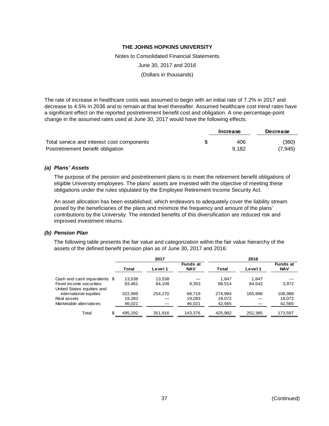Notes to Consolidated Financial Statements June 30, 2017 and 2016 (Dollars in thousands)

The rate of increase in healthcare costs was assumed to begin with an initial rate of 7.2% in 2017 and decrease to 4.5% in 2036 and to remain at that level thereafter. Assumed healthcare cost trend rates have a significant effect on the reported postretirement benefit cost and obligation. A one-percentage-point change in the assumed rates used at June 30, 2017 would have the following effects:

|                                            | Increase | Decrease |
|--------------------------------------------|----------|----------|
| Total service and interest cost components | 406      | (360)    |
| Postretirement benefit obligation          | 9.182    | (7, 945) |

#### *(a) Plans' Assets*

The purpose of the pension and postretirement plans is to meet the retirement benefit obligations of eligible University employees. The plans' assets are invested with the objective of meeting these obligations under the rules stipulated by the Employee Retirement Income Security Act.

An asset allocation has been established, which endeavors to adequately cover the liability stream posed by the beneficiaries of the plans and minimize the frequency and amount of the plans' contributions by the University. The intended benefits of this diversification are reduced risk and improved investment returns.

#### *(b) Pension Plan*

The following table presents the fair value and categorization within the fair value hierarchy of the assets of the defined benefit pension plan as of June 30, 2017 and 2016:

|                              |               | 2017    |                 | 2016    |         |                 |  |
|------------------------------|---------------|---------|-----------------|---------|---------|-----------------|--|
|                              |               |         | <b>Funds at</b> |         |         | <b>Funds at</b> |  |
|                              | Total         | Level 1 | <b>NAV</b>      | Total   | Level 1 | <b>NAV</b>      |  |
| Cash and cash equivalents \$ | 13,538        | 13.538  |                 | 1.847   | 1.847   |                 |  |
| Fixed income securities      | 93.461        | 84.108  | 9,353           | 88.514  | 84,542  | 3,972           |  |
| United States equities and   |               |         |                 |         |         |                 |  |
| international equities       | 322.989       | 254.270 | 68.719          | 274.984 | 165.996 | 108,988         |  |
| Real assets                  | 19,283        |         | 19.283          | 18.072  |         | 18,072          |  |
| Marketable alternatives      | 46,021        |         | 46,021          | 42,565  |         | 42,565          |  |
| Total                        | \$<br>495,292 | 351.916 | 143.376         | 425.982 | 252.385 | 173,597         |  |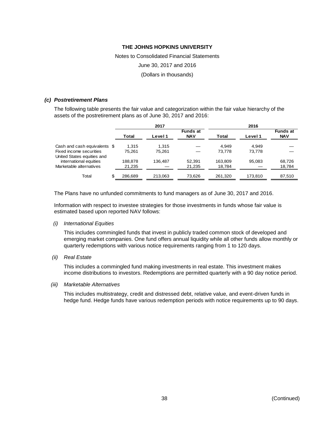## Notes to Consolidated Financial Statements June 30, 2017 and 2016 (Dollars in thousands)

#### *(c) Postretirement Plans*

The following table presents the fair value and categorization within the fair value hierarchy of the assets of the postretirement plans as of June 30, 2017 and 2016:

|                              |     | 2017    |         |                 |         | 2016    |                 |  |  |
|------------------------------|-----|---------|---------|-----------------|---------|---------|-----------------|--|--|
|                              |     |         |         | <b>Funds at</b> |         |         | <b>Funds at</b> |  |  |
|                              |     | Total   | Level 1 | <b>NAV</b>      | Total   | Level 1 | <b>NAV</b>      |  |  |
| Cash and cash equivalents \$ |     | 1.315   | 1.315   |                 | 4.949   | 4.949   |                 |  |  |
| Fixed income securities      |     | 75.261  | 75.261  |                 | 73.778  | 73.778  |                 |  |  |
| United States equities and   |     |         |         |                 |         |         |                 |  |  |
| international equities       |     | 188.878 | 136.487 | 52.391          | 163.809 | 95.083  | 68,726          |  |  |
| Marketable alternatives      |     | 21,235  |         | 21,235          | 18,784  |         | 18,784          |  |  |
|                              |     |         |         |                 |         |         |                 |  |  |
| Total                        | \$. | 286,689 | 213.063 | 73,626          | 261,320 | 173.810 | 87,510          |  |  |

The Plans have no unfunded commitments to fund managers as of June 30, 2017 and 2016.

Information with respect to investee strategies for those investments in funds whose fair value is estimated based upon reported NAV follows:

#### *(i) International Equities*

This includes commingled funds that invest in publicly traded common stock of developed and emerging market companies. One fund offers annual liquidity while all other funds allow monthly or quarterly redemptions with various notice requirements ranging from 1 to 120 days.

#### *(ii) Real Estate*

This includes a commingled fund making investments in real estate. This investment makes income distributions to investors. Redemptions are permitted quarterly with a 90 day notice period.

## *(iii) Marketable Alternatives*

This includes multistrategy, credit and distressed debt, relative value, and event-driven funds in hedge fund. Hedge funds have various redemption periods with notice requirements up to 90 days.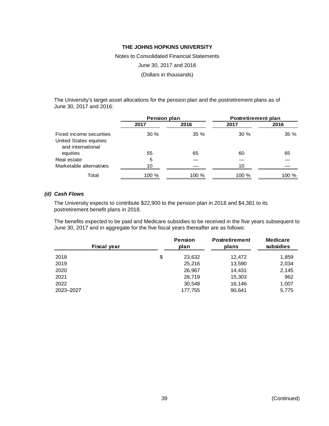Notes to Consolidated Financial Statements June 30, 2017 and 2016 (Dollars in thousands)

The University's target asset allocations for the pension plan and the postretirement plans as of June 30, 2017 and 2016:

|                                                    | Pension plan |       | <b>Postretirement plan</b> |       |  |
|----------------------------------------------------|--------------|-------|----------------------------|-------|--|
|                                                    | 2017         | 2016  | 2017                       | 2016  |  |
| Fixed income securities                            | 30%          | 35%   | 30%                        | 35%   |  |
| <b>United States equities</b><br>and international |              |       |                            |       |  |
| equities                                           | 55           | 65    | 60                         | 65    |  |
| Real estate                                        | 5            |       |                            |       |  |
| Marketable alternatives                            | 10           |       | 10                         |       |  |
| Total                                              | 100 %        | 100 % | $100 \%$                   | 100 % |  |

#### *(d) Cash Flows*

The University expects to contribute \$22,900 to the pension plan in 2018 and \$4,381 to its postretirement benefit plans in 2018.

The benefits expected to be paid and Medicare subsidies to be received in the five years subsequent to June 30, 2017 and in aggregate for the five fiscal years thereafter are as follows:

| <b>Fiscal year</b> | <b>Pension</b><br>plan | <b>Postretirement</b><br>plans | <b>Medicare</b><br>subsidies |
|--------------------|------------------------|--------------------------------|------------------------------|
| 2018               | \$<br>23,632           | 12.472                         | 1,859                        |
| 2019               | 25,216                 | 13,590                         | 2,034                        |
| 2020               | 26,967                 | 14,431                         | 2,145                        |
| 2021               | 28,719                 | 15,303                         | 962                          |
| 2022               | 30,548                 | 16,146                         | 1,007                        |
| 2023-2027          | 177,755                | 90,641                         | 5,775                        |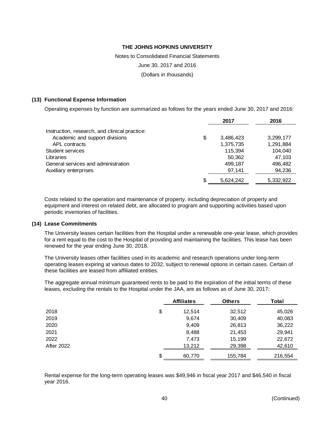## Notes to Consolidated Financial Statements June 30, 2017 and 2016 (Dollars in thousands)

#### **(13) Functional Expense Information**

Operating expenses by function are summarized as follows for the years ended June 30, 2017 and 2016:

|                                               | 2017            | 2016      |
|-----------------------------------------------|-----------------|-----------|
| Instruction, research, and clinical practice: |                 |           |
| Academic and support divisions                | \$<br>3,486,423 | 3,299,177 |
| APL contracts                                 | 1,375,735       | 1,291,884 |
| Student services                              | 115,394         | 104,040   |
| Libraries                                     | 50,362          | 47.103    |
| General services and administration           | 499,187         | 496,482   |
| Auxiliary enterprises                         | 97,141          | 94,236    |
|                                               | \$<br>5,624,242 | 5,332,922 |

Costs related to the operation and maintenance of property, including depreciation of property and equipment and interest on related debt, are allocated to program and supporting activities based upon periodic inventories of facilities.

#### **(14) Lease Commitments**

The University leases certain facilities from the Hospital under a renewable one-year lease, which provides for a rent equal to the cost to the Hospital of providing and maintaining the facilities. This lease has been renewed for the year ending June 30, 2018.

The University leases other facilities used in its academic and research operations under long-term operating leases expiring at various dates to 2032, subject to renewal options in certain cases. Certain of these facilities are leased from affiliated entities.

The aggregate annual minimum guaranteed rents to be paid to the expiration of the initial terms of these leases, excluding the rentals to the Hospital under the JAA, are as follows as of June 30, 2017:

|                   | <b>Affiliates</b> | <b>Others</b> | Total   |  |
|-------------------|-------------------|---------------|---------|--|
| 2018              | \$<br>12,514      | 32,512        | 45,026  |  |
| 2019              | 9,674             | 30,409        | 40,083  |  |
| 2020              | 9,409             | 26,813        | 36,222  |  |
| 2021              | 8,488             | 21,453        | 29,941  |  |
| 2022              | 7,473             | 15,199        | 22,672  |  |
| <b>After 2022</b> | 13,212            | 29,398        | 42,610  |  |
|                   | \$<br>60,770      | 155,784       | 216,554 |  |

Rental expense for the long-term operating leases was \$49,946 in fiscal year 2017 and \$46,540 in fiscal year 2016.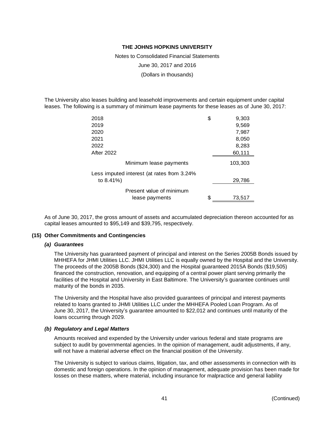Notes to Consolidated Financial Statements

June 30, 2017 and 2016

(Dollars in thousands)

The University also leases building and leasehold improvements and certain equipment under capital leases. The following is a summary of minimum lease payments for these leases as of June 30, 2017:

| 2018                                       | \$<br>9,303  |
|--------------------------------------------|--------------|
| 2019                                       | 9,569        |
| 2020                                       | 7,987        |
| 2021                                       | 8,050        |
| 2022                                       | 8,283        |
| After 2022                                 | 60,111       |
| Minimum lease payments                     | 103,303      |
| Less imputed interest (at rates from 3.24% |              |
| to $8.41\%$ )                              | 29,786       |
| Present value of minimum                   |              |
| lease payments                             | \$<br>73,517 |

As of June 30, 2017, the gross amount of assets and accumulated depreciation thereon accounted for as capital leases amounted to \$95,149 and \$39,795, respectively.

#### **(15) Other Commitments and Contingencies**

#### *(a) Guarantees*

The University has guaranteed payment of principal and interest on the Series 2005B Bonds issued by MHHEFA for JHMI Utilities LLC. JHMI Utilities LLC is equally owned by the Hospital and the University. The proceeds of the 2005B Bonds (\$24,300) and the Hospital guaranteed 2015A Bonds (\$19,505) financed the construction, renovation, and equipping of a central power plant serving primarily the facilities of the Hospital and University in East Baltimore. The University's guarantee continues until maturity of the bonds in 2035.

The University and the Hospital have also provided guarantees of principal and interest payments related to loans granted to JHMI Utilities LLC under the MHHEFA Pooled Loan Program. As of June 30, 2017, the University's guarantee amounted to \$22,012 and continues until maturity of the loans occurring through 2029.

#### *(b) Regulatory and Legal Matters*

Amounts received and expended by the University under various federal and state programs are subject to audit by governmental agencies. In the opinion of management, audit adjustments, if any, will not have a material adverse effect on the financial position of the University.

The University is subject to various claims, litigation, tax, and other assessments in connection with its domestic and foreign operations. In the opinion of management, adequate provision has been made for losses on these matters, where material, including insurance for malpractice and general liability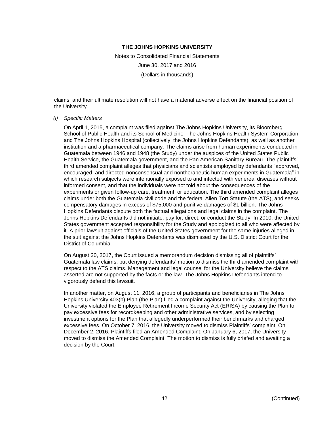Notes to Consolidated Financial Statements June 30, 2017 and 2016 (Dollars in thousands)

claims, and their ultimate resolution will not have a material adverse effect on the financial position of the University.

#### *(i) Specific Matters*

On April 1, 2015, a complaint was filed against The Johns Hopkins University, its Bloomberg School of Public Health and its School of Medicine, The Johns Hopkins Health System Corporation and The Johns Hopkins Hospital (collectively, the Johns Hopkins Defendants), as well as another institution and a pharmaceutical company. The claims arise from human experiments conducted in Guatemala between 1946 and 1948 (the Study) under the auspices of the United States Public Health Service, the Guatemala government, and the Pan American Sanitary Bureau. The plaintiffs' third amended complaint alleges that physicians and scientists employed by defendants "approved, encouraged, and directed nonconsensual and nontherapeutic human experiments in Guatemala" in which research subjects were intentionally exposed to and infected with venereal diseases without informed consent, and that the individuals were not told about the consequences of the experiments or given follow-up care, treatment, or education. The third amended complaint alleges claims under both the Guatemala civil code and the federal Alien Tort Statute (the ATS), and seeks compensatory damages in excess of \$75,000 and punitive damages of \$1 billion. The Johns Hopkins Defendants dispute both the factual allegations and legal claims in the complaint. The Johns Hopkins Defendants did not initiate, pay for, direct, or conduct the Study. In 2010, the United States government accepted responsibility for the Study and apologized to all who were affected by it. A prior lawsuit against officials of the United States government for the same injuries alleged in the suit against the Johns Hopkins Defendants was dismissed by the U.S. District Court for the District of Columbia.

On August 30, 2017, the Court issued a memorandum decision dismissing all of plaintiffs' Guatemala law claims, but denying defendants' motion to dismiss the third amended complaint with respect to the ATS claims. Management and legal counsel for the University believe the claims asserted are not supported by the facts or the law. The Johns Hopkins Defendants intend to vigorously defend this lawsuit.

In another matter, on August 11, 2016, a group of participants and beneficiaries in The Johns Hopkins University 403(b) Plan (the Plan) filed a complaint against the University, alleging that the University violated the Employee Retirement Income Security Act (ERISA) by causing the Plan to pay excessive fees for recordkeeping and other administrative services, and by selecting investment options for the Plan that allegedly underperformed their benchmarks and charged excessive fees. On October 7, 2016, the University moved to dismiss Plaintiffs' complaint. On December 2, 2016, Plaintiffs filed an Amended Complaint. On January 6, 2017, the University moved to dismiss the Amended Complaint. The motion to dismiss is fully briefed and awaiting a decision by the Court.